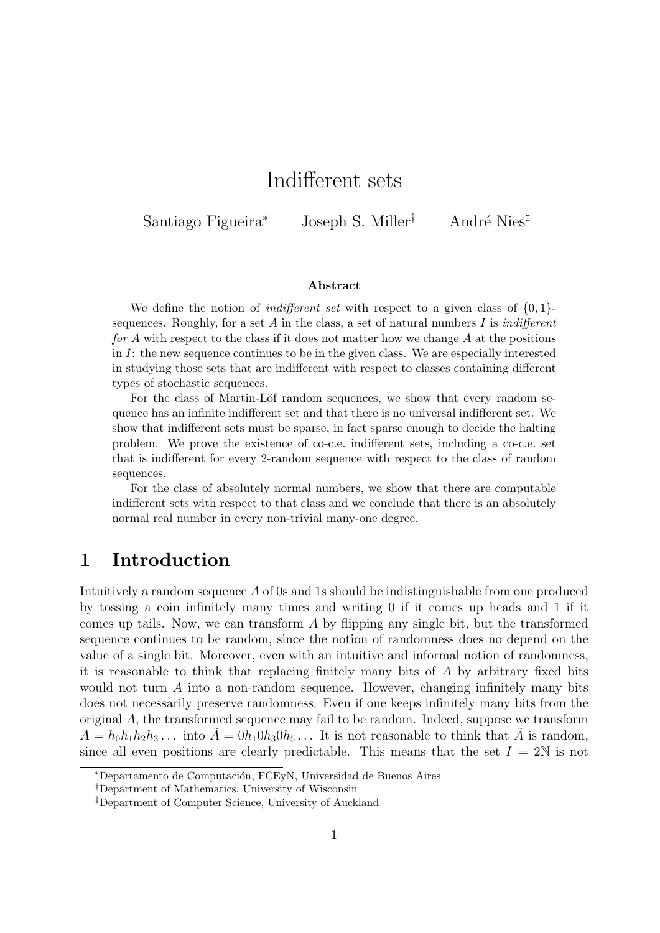# Indifferent sets

Santiago Figueira<sup>∗</sup> Joseph S. Miller<sup>†</sup> André Nies<sup>‡</sup>

#### Abstract

We define the notion of *indifferent set* with respect to a given class of  $\{0, 1\}$ sequences. Roughly, for a set A in the class, a set of natural numbers I is *indifferent* for A with respect to the class if it does not matter how we change A at the positions in  $I$ : the new sequence continues to be in the given class. We are especially interested in studying those sets that are indifferent with respect to classes containing different types of stochastic sequences.

For the class of Martin-Löf random sequences, we show that every random sequence has an infinite indifferent set and that there is no universal indifferent set. We show that indifferent sets must be sparse, in fact sparse enough to decide the halting problem. We prove the existence of co-c.e. indifferent sets, including a co-c.e. set that is indifferent for every 2-random sequence with respect to the class of random sequences.

For the class of absolutely normal numbers, we show that there are computable indifferent sets with respect to that class and we conclude that there is an absolutely normal real number in every non-trivial many-one degree.

## <span id="page-0-0"></span>1 Introduction

Intuitively a random sequence A of 0s and 1s should be indistinguishable from one produced by tossing a coin infinitely many times and writing 0 if it comes up heads and 1 if it comes up tails. Now, we can transform  $A$  by flipping any single bit, but the transformed sequence continues to be random, since the notion of randomness does no depend on the value of a single bit. Moreover, even with an intuitive and informal notion of randomness, it is reasonable to think that replacing finitely many bits of A by arbitrary fixed bits would not turn  $A$  into a non-random sequence. However, changing infinitely many bits does not necessarily preserve randomness. Even if one keeps infinitely many bits from the original  $A$ , the transformed sequence may fail to be random. Indeed, suppose we transform  $A = h_0 h_1 h_2 h_3 \dots$  into  $\tilde{A} = 0 h_1 0 h_3 0 h_5 \dots$  It is not reasonable to think that  $\tilde{A}$  is random, since all even positions are clearly predictable. This means that the set  $I = 2N$  is not

<sup>∗</sup>Departamento de Computaci´on, FCEyN, Universidad de Buenos Aires

<sup>†</sup>Department of Mathematics, University of Wisconsin

<sup>‡</sup>Department of Computer Science, University of Auckland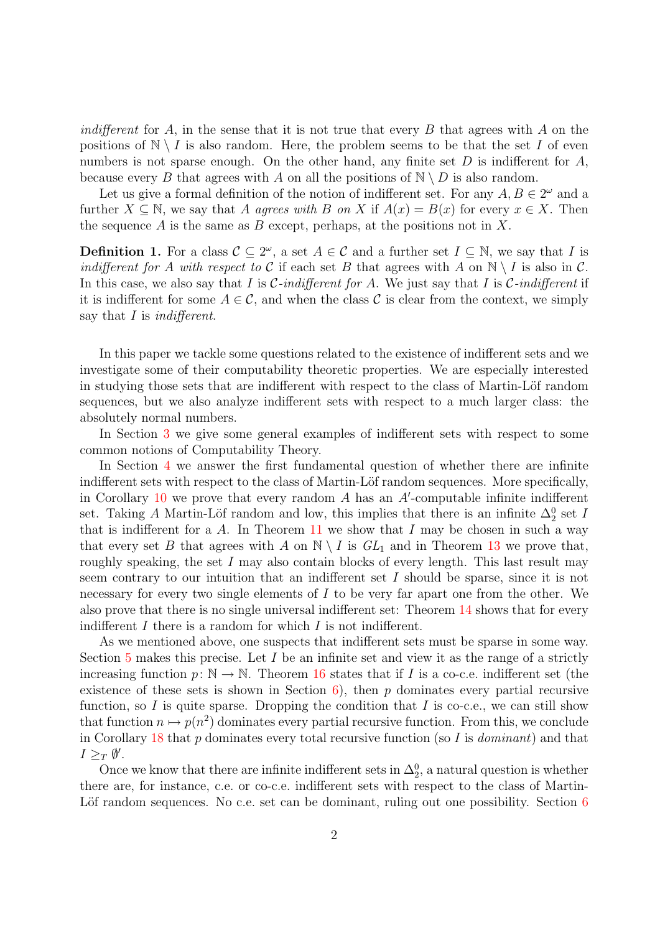*indifferent* for A, in the sense that it is not true that every B that agrees with A on the positions of  $N \setminus I$  is also random. Here, the problem seems to be that the set I of even numbers is not sparse enough. On the other hand, any finite set  $D$  is indifferent for  $A$ , because every B that agrees with A on all the positions of  $\mathbb{N} \setminus D$  is also random.

Let us give a formal definition of the notion of indifferent set. For any  $A, B \in 2^{\omega}$  and a further  $X \subseteq \mathbb{N}$ , we say that A agrees with B on X if  $A(x) = B(x)$  for every  $x \in X$ . Then the sequence A is the same as B except, perhaps, at the positions not in X.

**Definition 1.** For a class  $C \subseteq 2^{\omega}$ , a set  $A \in C$  and a further set  $I \subseteq \mathbb{N}$ , we say that I is indifferent for A with respect to C if each set B that agrees with A on  $\mathbb{N} \setminus I$  is also in C. In this case, we also say that I is C-indifferent for A. We just say that I is C-indifferent if it is indifferent for some  $A \in \mathcal{C}$ , and when the class  $\mathcal C$  is clear from the context, we simply say that I is *indifferent*.

In this paper we tackle some questions related to the existence of indifferent sets and we investigate some of their computability theoretic properties. We are especially interested in studying those sets that are indifferent with respect to the class of Martin-Löf random sequences, but we also analyze indifferent sets with respect to a much larger class: the absolutely normal numbers.

In Section [3](#page-3-0) we give some general examples of indifferent sets with respect to some common notions of Computability Theory.

In Section [4](#page-5-0) we answer the first fundamental question of whether there are infinite indifferent sets with respect to the class of Martin-Löf random sequences. More specifically, in Corollary  $10$  we prove that every random  $A$  has an  $A'$ -computable infinite indifferent set. Taking A Martin-Löf random and low, this implies that there is an infinite  $\Delta_2^0$  set I that is indifferent for a  $A$ . In Theorem [11](#page-7-1) we show that  $I$  may be chosen in such a way that every set B that agrees with A on  $\mathbb{N} \setminus I$  is  $GL_1$  and in Theorem [13](#page-9-0) we prove that, roughly speaking, the set  $I$  may also contain blocks of every length. This last result may seem contrary to our intuition that an indifferent set I should be sparse, since it is not necessary for every two single elements of I to be very far apart one from the other. We also prove that there is no single universal indifferent set: Theorem [14](#page-9-1) shows that for every indifferent  $I$  there is a random for which  $I$  is not indifferent.

As we mentioned above, one suspects that indifferent sets must be sparse in some way. Section [5](#page-10-0) makes this precise. Let  $I$  be an infinite set and view it as the range of a strictly increasing function  $p: \mathbb{N} \to \mathbb{N}$ . Theorem [16](#page-11-0) states that if I is a co-c.e. indifferent set (the existence of these sets is shown in Section  $6$ , then p dominates every partial recursive function, so I is quite sparse. Dropping the condition that I is co-c.e., we can still show that function  $n \mapsto p(n^2)$  dominates every partial recursive function. From this, we conclude in Corollary [18](#page-12-0) that p dominates every total recursive function (so I is *dominant*) and that  $I \geq_T \emptyset'.$ 

Once we know that there are infinite indifferent sets in  $\Delta_2^0$ , a natural question is whether there are, for instance, c.e. or co-c.e. indifferent sets with respect to the class of Martin-Löf random sequences. No c.e. set can be dominant, ruling out one possibility. Section  $6$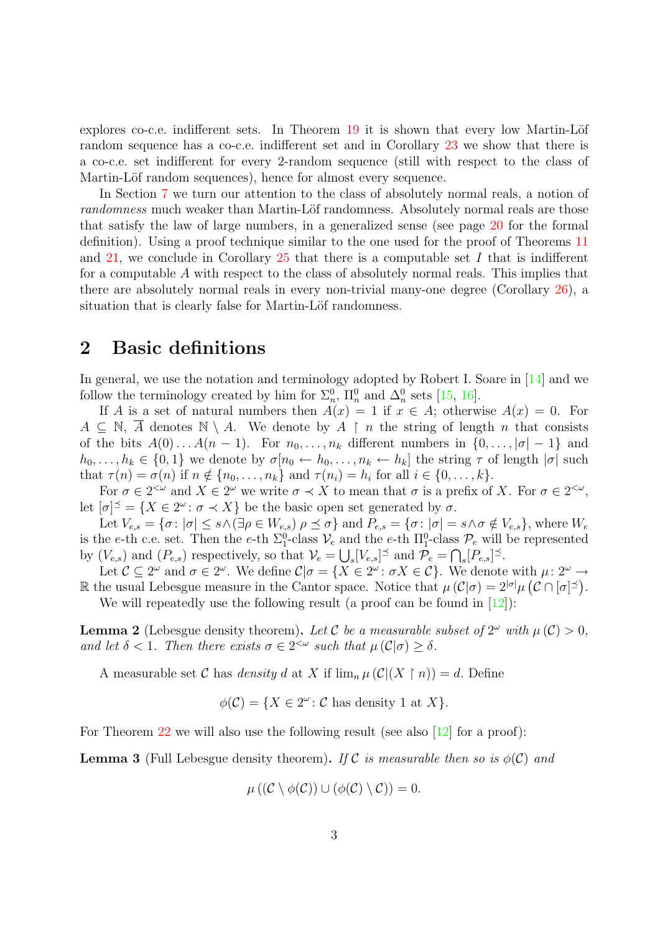explores co-c.e. indifferent sets. In Theorem  $19$  it is shown that every low Martin-Löf random sequence has a co-c.e. indifferent set and in Corollary [23](#page-16-0) we show that there is a co-c.e. set indifferent for every 2-random sequence (still with respect to the class of Martin-Löf random sequences), hence for almost every sequence.

In Section [7](#page-17-0) we turn our attention to the class of absolutely normal reals, a notion of randomness much weaker than Martin-Löf randomness. Absolutely normal reals are those that satisfy the law of large numbers, in a generalized sense (see page [20](#page-18-0) for the formal definition). Using a proof technique similar to the one used for the proof of Theorems [11](#page-7-1) and [21,](#page-14-0) we conclude in Corollary  $25$  that there is a computable set I that is indifferent for a computable A with respect to the class of absolutely normal reals. This implies that there are absolutely normal reals in every non-trivial many-one degree (Corollary [26\)](#page-20-1), a situation that is clearly false for Martin-Löf randomness.

## 2 Basic definitions

In general, we use the notation and terminology adopted by Robert I. Soare in [\[14\]](#page-21-0) and we follow the terminology created by him for  $\Sigma_n^0$ ,  $\Pi_n^0$  and  $\Delta_n^0$  sets [\[15,](#page-21-1) [16\]](#page-21-2).

If A is a set of natural numbers then  $A(x) = 1$  if  $x \in A$ ; otherwise  $A(x) = 0$ . For  $A \subseteq \mathbb{N}$ , A denotes  $\mathbb{N} \setminus A$ . We denote by  $A \restriction n$  the string of length n that consists of the bits  $A(0) \dots A(n-1)$ . For  $n_0, \dots, n_k$  different numbers in  $\{0, \dots, |\sigma| - 1\}$  and  $h_0, \ldots, h_k \in \{0, 1\}$  we denote by  $\sigma[n_0 \leftarrow h_0, \ldots, n_k \leftarrow h_k]$  the string  $\tau$  of length  $|\sigma|$  such that  $\tau(n) = \sigma(n)$  if  $n \notin \{n_0, \ldots, n_k\}$  and  $\tau(n_i) = h_i$  for all  $i \in \{0, \ldots, k\}$ .

For  $\sigma \in 2^{<\omega}$  and  $X \in 2^{\omega}$  we write  $\sigma \prec X$  to mean that  $\sigma$  is a prefix of X. For  $\sigma \in 2^{<\omega}$ , let  $[\sigma]^\preceq = \{X \in 2^\omega \colon \sigma \prec X\}$  be the basic open set generated by  $\sigma$ .

Let  $V_{e,s} = \{\sigma : |\sigma| \leq s \wedge (\exists \rho \in W_{e,s}) \rho \preceq \sigma\}$  and  $P_{e,s} = \{\sigma : |\sigma| = s \wedge \sigma \notin V_{e,s}\}\$ , where  $W_e$ is the e-th c.e. set. Then the e-th  $\Sigma_1^0$ -class  $\mathcal{V}_e$  and the e-th  $\Pi_1^0$ -class  $\mathcal{P}_e$  will be represented by  $(V_{e,s})$  and  $(P_{e,s})$  respectively, so that  $\mathcal{V}_e = \bigcup_s [V_{e,s}]^{\preceq}$  and  $\mathcal{P}_e = \bigcap_s [P_{e,s}]^{\preceq}$ .

Let  $\mathcal{C} \subseteq 2^{\omega}$  and  $\sigma \in 2^{\omega}$ . We define  $\mathcal{C} | \sigma = \{ X \in 2^{\omega} : \sigma X \in \mathcal{C} \}$ . We denote with  $\mu : 2^{\omega} \to$ R the usual Lebesgue measure in the Cantor space. Notice that  $\mu(C|\sigma) = 2^{|\sigma|}\mu(C \cap |\sigma|^{\leq}).$ We will repeatedly use the following result (a proof can be found in  $[12]$ ):

<span id="page-2-0"></span>**Lemma 2** (Lebesgue density theorem). Let C be a measurable subset of  $2^{\omega}$  with  $\mu(\mathcal{C}) > 0$ , and let  $\delta < 1$ . Then there exists  $\sigma \in 2^{<\omega}$  such that  $\mu(C|\sigma) \geq \delta$ .

A measurable set C has *density d* at X if  $\lim_{n\to\infty} \mu(C|(X \restriction n)) = d$ . Define

 $\phi(\mathcal{C}) = \{X \in 2^{\omega} : \mathcal{C} \text{ has density } 1 \text{ at } X\}.$ 

<span id="page-2-1"></span>For Theorem [22](#page-15-0) we will also use the following result (see also [\[12\]](#page-21-3) for a proof):

**Lemma 3** (Full Lebesgue density theorem). If C is measurable then so is  $\phi(\mathcal{C})$  and

$$
\mu((\mathcal{C}\setminus \phi(\mathcal{C}))\cup (\phi(\mathcal{C})\setminus \mathcal{C}))=0.
$$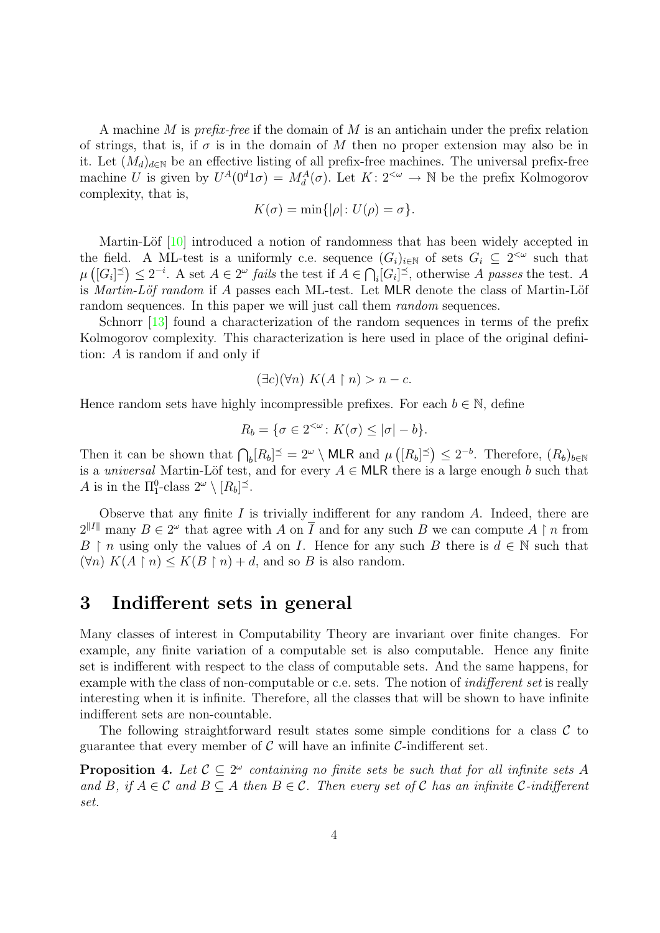A machine M is *prefix-free* if the domain of M is an antichain under the prefix relation of strings, that is, if  $\sigma$  is in the domain of M then no proper extension may also be in it. Let  $(M_d)_{d\in\mathbb{N}}$  be an effective listing of all prefix-free machines. The universal prefix-free machine U is given by  $U^A(0^d 1\sigma) = M_d^A(\sigma)$ . Let  $K: 2^{<\omega} \to \mathbb{N}$  be the prefix Kolmogorov complexity, that is,

$$
K(\sigma) = \min\{|\rho| : U(\rho) = \sigma\}.
$$

Martin-Löf [\[10\]](#page-21-4) introduced a notion of randomness that has been widely accepted in the field. A ML-test is a uniformly c.e. sequence  $(G_i)_{i\in\mathbb{N}}$  of sets  $G_i \subseteq 2^{<\omega}$  such that  $\mu\left([G_i]^{\preceq}\right) \leq 2^{-i}$ . A set  $A \in 2^{\omega}$  fails the test if  $A \in \bigcap_i [G_i]^{\preceq}$ , otherwise A passes the test. A is *Martin-Löf random* if  $A$  passes each ML-test. Let MLR denote the class of Martin-Löf random sequences. In this paper we will just call them random sequences.

Schnorr [\[13\]](#page-21-5) found a characterization of the random sequences in terms of the prefix Kolmogorov complexity. This characterization is here used in place of the original definition: A is random if and only if

$$
(\exists c)(\forall n) K(A \upharpoonright n) > n - c.
$$

Hence random sets have highly incompressible prefixes. For each  $b \in \mathbb{N}$ , define

$$
R_b = \{ \sigma \in 2^{<\omega} \colon K(\sigma) \leq |\sigma| - b \}.
$$

Then it can be shown that  $\bigcap_b [R_b]^{\preceq} = 2^{\omega} \setminus \text{MLR}$  and  $\mu([R_b]^{\preceq}) \leq 2^{-b}$ . Therefore,  $(R_b)_{b \in \mathbb{N}}$ is a *universal* Martin-Löf test, and for every  $A \in \mathsf{MLR}$  there is a large enough b such that A is in the  $\Pi_1^0$ -class  $2^\omega \setminus [R_b]^\preceq$ .

Observe that any finite  $I$  is trivially indifferent for any random  $A$ . Indeed, there are  $2^{\Vert I\Vert}$  many  $B \in 2^{\omega}$  that agree with A on  $\overline{I}$  and for any such B we can compute A  $\upharpoonright n$  from B  $\upharpoonright$  n using only the values of A on I. Hence for any such B there is  $d \in \mathbb{N}$  such that  $(\forall n) K(A \upharpoonright n) \leq K(B \upharpoonright n) + d$ , and so B is also random.

### <span id="page-3-0"></span>3 Indifferent sets in general

Many classes of interest in Computability Theory are invariant over finite changes. For example, any finite variation of a computable set is also computable. Hence any finite set is indifferent with respect to the class of computable sets. And the same happens, for example with the class of non-computable or c.e. sets. The notion of *indifferent set* is really interesting when it is infinite. Therefore, all the classes that will be shown to have infinite indifferent sets are non-countable.

The following straightforward result states some simple conditions for a class  $\mathcal C$  to guarantee that every member of  $\mathcal C$  will have an infinite  $\mathcal C$ -indifferent set.

<span id="page-3-1"></span>**Proposition 4.** Let  $\mathcal{C} \subseteq 2^{\omega}$  containing no finite sets be such that for all infinite sets A and B, if  $A \in \mathcal{C}$  and  $B \subseteq A$  then  $B \in \mathcal{C}$ . Then every set of  $\mathcal C$  has an infinite  $\mathcal C$ -indifferent set.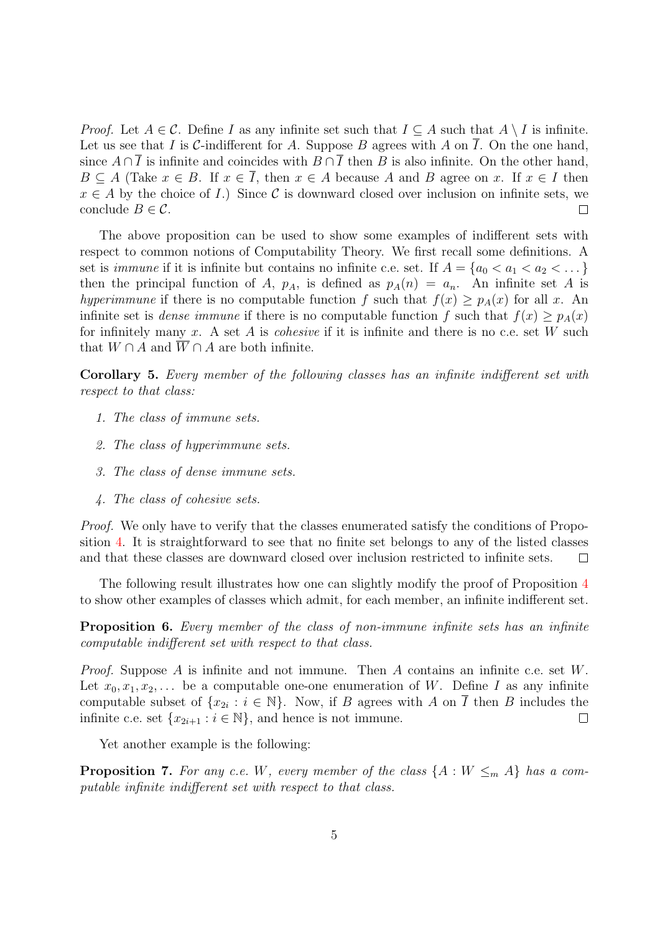*Proof.* Let  $A \in \mathcal{C}$ . Define I as any infinite set such that  $I \subseteq A$  such that  $A \setminus I$  is infinite. Let us see that I is C-indifferent for A. Suppose B agrees with A on  $\overline{I}$ . On the one hand, since  $A \cap \overline{I}$  is infinite and coincides with  $B \cap \overline{I}$  then B is also infinite. On the other hand,  $B \subseteq A$  (Take  $x \in B$ . If  $x \in \overline{I}$ , then  $x \in A$  because A and B agree on x. If  $x \in I$  then  $x \in A$  by the choice of I.) Since C is downward closed over inclusion on infinite sets, we conclude  $B \in \mathcal{C}$ .  $\Box$ 

The above proposition can be used to show some examples of indifferent sets with respect to common notions of Computability Theory. We first recall some definitions. A set is *immune* if it is infinite but contains no infinite c.e. set. If  $A = \{a_0 < a_1 < a_2 < \dots\}$ then the principal function of A,  $p_A$ , is defined as  $p_A(n) = a_n$ . An infinite set A is hyperimmune if there is no computable function f such that  $f(x) > p<sub>A</sub>(x)$  for all x. An infinite set is *dense immune* if there is no computable function f such that  $f(x) > p_A(x)$ for infinitely many x. A set A is *cohesive* if it is infinite and there is no c.e. set W such that  $W \cap A$  and  $\overline{W} \cap A$  are both infinite.

Corollary 5. Every member of the following classes has an infinite indifferent set with respect to that class:

- 1. The class of immune sets.
- 2. The class of hyperimmune sets.
- 3. The class of dense immune sets.
- 4. The class of cohesive sets.

Proof. We only have to verify that the classes enumerated satisfy the conditions of Proposition [4.](#page-3-1) It is straightforward to see that no finite set belongs to any of the listed classes and that these classes are downward closed over inclusion restricted to infinite sets.  $\Box$ 

The following result illustrates how one can slightly modify the proof of Proposition [4](#page-3-1) to show other examples of classes which admit, for each member, an infinite indifferent set.

Proposition 6. Every member of the class of non-immune infinite sets has an infinite computable indifferent set with respect to that class.

*Proof.* Suppose A is infinite and not immune. Then A contains an infinite c.e. set  $W$ . Let  $x_0, x_1, x_2, \ldots$  be a computable one-one enumeration of W. Define I as any infinite computable subset of  $\{x_{2i} : i \in \mathbb{N}\}\$ . Now, if B agrees with A on  $\overline{I}$  then B includes the infinite c.e. set  $\{x_{2i+1} : i \in \mathbb{N}\}\$ , and hence is not immune.  $\Box$ 

Yet another example is the following:

**Proposition 7.** For any c.e. W, every member of the class  $\{A : W \leq_m A\}$  has a computable infinite indifferent set with respect to that class.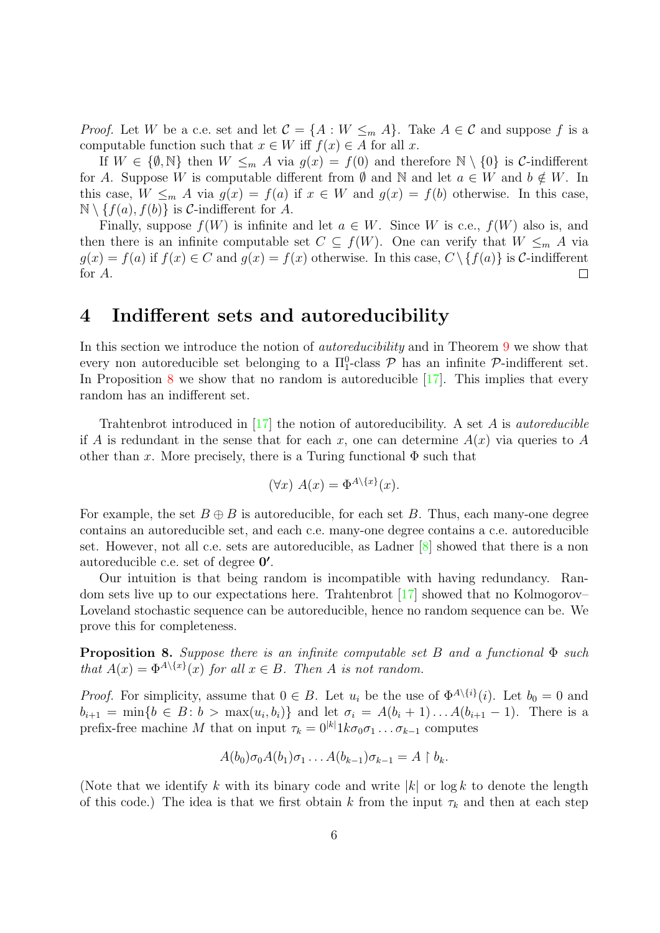*Proof.* Let W be a c.e. set and let  $C = \{A : W \leq_m A\}$ . Take  $A \in C$  and suppose f is a computable function such that  $x \in W$  iff  $f(x) \in A$  for all x.

If  $W \in \{\emptyset, \mathbb{N}\}\$  then  $W \leq_m A$  via  $g(x) = f(0)$  and therefore  $\mathbb{N} \setminus \{0\}\$ is C-indifferent for A. Suppose W is computable different from  $\emptyset$  and  $\mathbb N$  and let  $a \in W$  and  $b \notin W$ . In this case,  $W \leq_m A$  via  $g(x) = f(a)$  if  $x \in W$  and  $g(x) = f(b)$  otherwise. In this case,  $\mathbb{N} \setminus \{f(a), f(b)\}\$ is *C*-indifferent for *A*.

Finally, suppose  $f(W)$  is infinite and let  $a \in W$ . Since W is c.e.,  $f(W)$  also is, and then there is an infinite computable set  $C \subseteq f(W)$ . One can verify that  $W \leq_m A$  via  $g(x) = f(a)$  if  $f(x) \in C$  and  $g(x) = f(x)$  otherwise. In this case,  $C \setminus \{f(a)\}\$ is C-indifferent for A.  $\Box$ 

#### <span id="page-5-0"></span>4 Indifferent sets and autoreducibility

In this section we introduce the notion of autoreducibility and in Theorem [9](#page-6-0) we show that every non autoreducible set belonging to a  $\Pi_1^0$ -class  $P$  has an infinite  $P$ -indifferent set. In Proposition [8](#page-5-1) we show that no random is autoreducible  $[17]$ . This implies that every random has an indifferent set.

Trahtenbrot introduced in  $[17]$  the notion of autoreducibility. A set A is *autoreducible* if A is redundant in the sense that for each x, one can determine  $A(x)$  via queries to A other than x. More precisely, there is a Turing functional  $\Phi$  such that

$$
(\forall x) A(x) = \Phi^{A \setminus \{x\}}(x).
$$

For example, the set  $B \oplus B$  is autoreducible, for each set B. Thus, each many-one degree contains an autoreducible set, and each c.e. many-one degree contains a c.e. autoreducible set. However, not all c.e. sets are autoreducible, as Ladner [\[8\]](#page-21-7) showed that there is a non autoreducible c.e. set of degree  $0'$ .

Our intuition is that being random is incompatible with having redundancy. Random sets live up to our expectations here. Trahtenbrot [\[17\]](#page-21-6) showed that no Kolmogorov– Loveland stochastic sequence can be autoreducible, hence no random sequence can be. We prove this for completeness.

<span id="page-5-1"></span>**Proposition 8.** Suppose there is an infinite computable set B and a functional  $\Phi$  such that  $A(x) = \Phi^{A \setminus \{x\}}(x)$  for all  $x \in B$ . Then A is not random.

*Proof.* For simplicity, assume that  $0 \in B$ . Let  $u_i$  be the use of  $\Phi^{A \setminus \{i\}}(i)$ . Let  $b_0 = 0$  and  $b_{i+1} = \min\{b \in B : b > \max(u_i, b_i)\}\$ and let  $\sigma_i = A(b_i + 1) \dots A(b_{i+1} - 1)$ . There is a prefix-free machine M that on input  $\tau_k = 0^{|k|} 1 k \sigma_0 \sigma_1 \dots \sigma_{k-1}$  computes

$$
A(b_0)\sigma_0A(b_1)\sigma_1\ldots A(b_{k-1})\sigma_{k-1}=A\restriction b_k.
$$

(Note that we identify k with its binary code and write  $|k|$  or log k to denote the length of this code.) The idea is that we first obtain k from the input  $\tau_k$  and then at each step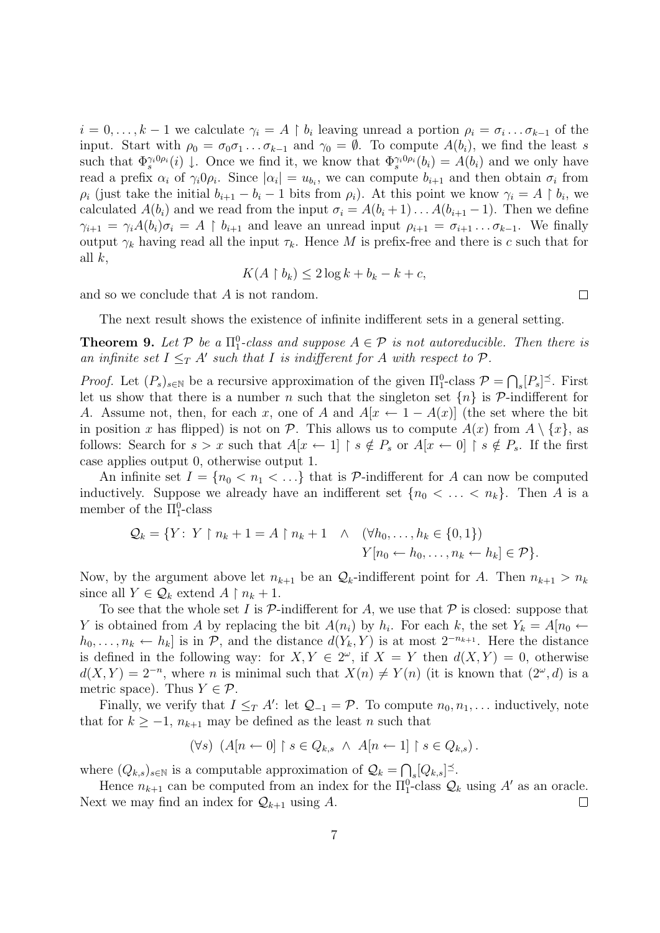$i = 0, \ldots, k-1$  we calculate  $\gamma_i = A \restriction b_i$  leaving unread a portion  $\rho_i = \sigma_i \ldots \sigma_{k-1}$  of the input. Start with  $\rho_0 = \sigma_0 \sigma_1 \dots \sigma_{k-1}$  and  $\gamma_0 = \emptyset$ . To compute  $A(b_i)$ , we find the least s such that  $\Phi_s^{\gamma_i 0 \rho_i}(i) \downarrow$ . Once we find it, we know that  $\Phi_s^{\gamma_i 0 \rho_i}(b_i) = A(b_i)$  and we only have read a prefix  $\alpha_i$  of  $\gamma_i 0 \rho_i$ . Since  $|\alpha_i| = u_{b_i}$ , we can compute  $b_{i+1}$  and then obtain  $\sigma_i$  from  $\rho_i$  (just take the initial  $b_{i+1} - b_i - 1$  bits from  $\rho_i$ ). At this point we know  $\gamma_i = A \restriction b_i$ , we calculated  $A(b_i)$  and we read from the input  $\sigma_i = A(b_i + 1) \dots A(b_{i+1} - 1)$ . Then we define  $\gamma_{i+1} = \gamma_i A(b_i) \sigma_i = A \restriction b_{i+1}$  and leave an unread input  $\rho_{i+1} = \sigma_{i+1} \dots \sigma_{k-1}$ . We finally output  $\gamma_k$  having read all the input  $\tau_k$ . Hence M is prefix-free and there is c such that for all  $k$ ,

$$
K(A \restriction b_k) \le 2\log k + b_k - k + c,
$$

 $\Box$ 

and so we conclude that A is not random.

The next result shows the existence of infinite indifferent sets in a general setting.

<span id="page-6-0"></span>**Theorem 9.** Let  $P$  be a  $\Pi_1^0$ -class and suppose  $A \in \mathcal{P}$  is not autoreducible. Then there is an infinite set  $I \leq_T A'$  such that I is indifferent for A with respect to  $P$ .

*Proof.* Let  $(P_s)_{s \in \mathbb{N}}$  be a recursive approximation of the given  $\Pi_1^0$ -class  $\mathcal{P} = \bigcap_s [P_s]^{\preceq}$ . First let us show that there is a number n such that the singleton set  $\{n\}$  is P-indifferent for A. Assume not, then, for each x, one of A and  $A[x \leftarrow 1 - A(x)]$  (the set where the bit in position x has flipped) is not on P. This allows us to compute  $A(x)$  from  $A \setminus \{x\}$ , as follows: Search for  $s > x$  such that  $A[x \leftarrow 1] \upharpoonright s \notin P_s$  or  $A[x \leftarrow 0] \upharpoonright s \notin P_s$ . If the first case applies output 0, otherwise output 1.

An infinite set  $I = \{n_0 < n_1 < \ldots\}$  that is P-indifferent for A can now be computed inductively. Suppose we already have an indifferent set  $\{n_0 < \ldots < n_k\}$ . Then A is a member of the  $\Pi_1^0$ -class

$$
Q_k = \{ Y \colon Y \upharpoonright n_k + 1 = A \upharpoonright n_k + 1 \quad \wedge \quad (\forall h_0, \dots, h_k \in \{0, 1\})
$$

$$
Y[n_0 \leftarrow h_0, \dots, n_k \leftarrow h_k] \in \mathcal{P} \}.
$$

Now, by the argument above let  $n_{k+1}$  be an  $\mathcal{Q}_k$ -indifferent point for A. Then  $n_{k+1} > n_k$ since all  $Y \in \mathcal{Q}_k$  extend  $A \restriction n_k + 1$ .

To see that the whole set I is  $\mathcal P$ -indifferent for A, we use that  $\mathcal P$  is closed: suppose that Y is obtained from A by replacing the bit  $A(n_i)$  by  $h_i$ . For each k, the set  $Y_k = A[n_0 \leftarrow \emptyset]$  $h_0, \ldots, n_k \leftarrow h_k$  is in P, and the distance  $d(Y_k, Y)$  is at most  $2^{-n_{k+1}}$ . Here the distance is defined in the following way: for  $X, Y \in 2^{\omega}$ , if  $X = Y$  then  $d(X, Y) = 0$ , otherwise  $d(X,Y) = 2^{-n}$ , where *n* is minimal such that  $X(n) \neq Y(n)$  (it is known that  $(2^{\omega}, d)$  is a metric space). Thus  $Y \in \mathcal{P}$ .

Finally, we verify that  $I \leq T A'$ : let  $\mathcal{Q}_{-1} = \mathcal{P}$ . To compute  $n_0, n_1, \ldots$  inductively, note that for  $k \geq -1$ ,  $n_{k+1}$  may be defined as the least n such that

$$
(\forall s) \ \ (A[n \leftarrow 0] \upharpoonright s \in Q_{k,s} \ \land \ A[n \leftarrow 1] \upharpoonright s \in Q_{k,s}).
$$

where  $(Q_{k,s})_{s\in\mathbb{N}}$  is a computable approximation of  $\mathcal{Q}_k = \bigcap_s [Q_{k,s}]^{\preceq}$ .

Hence  $n_{k+1}$  can be computed from an index for the  $\Pi_1^0$ -class  $\mathcal{Q}_k$  using A' as an oracle. Next we may find an index for  $\mathcal{Q}_{k+1}$  using A.  $\Box$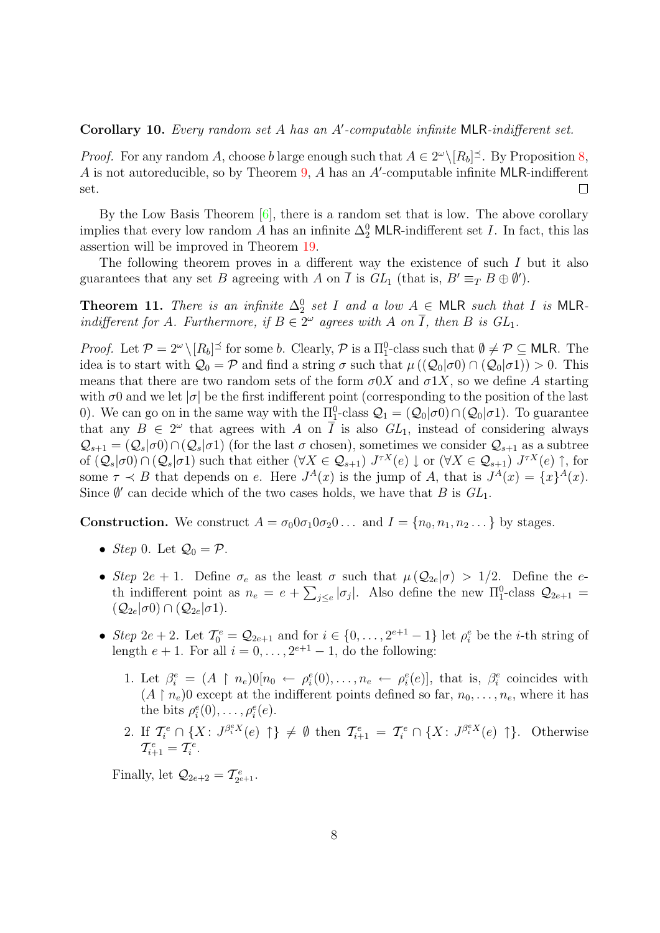#### <span id="page-7-0"></span>Corollary 10. Every random set  $A$  has an  $A'$ -computable infinite MLR-indifferent set.

*Proof.* For any random A, choose b large enough such that  $A \in 2^{\omega} \setminus [R_b]^{\preceq}$ . By Proposition [8,](#page-5-1) A is not autoreducible, so by Theorem  $9$ , A has an A'-computable infinite MLR-indifferent set.  $\Box$ 

By the Low Basis Theorem  $[6]$ , there is a random set that is low. The above corollary implies that every low random A has an infinite  $\Delta_2^0$  MLR-indifferent set I. In fact, this las assertion will be improved in Theorem [19.](#page-13-1)

The following theorem proves in a different way the existence of such I but it also guarantees that any set B agreeing with A on  $\overline{I}$  is  $GL_1$  (that is,  $B' \equiv_T B \oplus \emptyset'$ ).

<span id="page-7-1"></span>**Theorem 11.** There is an infinite  $\Delta_2^0$  set I and a low  $A \in \mathsf{MLR}$  such that I is MLRindifferent for A. Furthermore, if  $B \in 2^{\omega}$  agrees with A on  $\overline{I}$ , then B is  $GL_1$ .

*Proof.* Let  $\mathcal{P} = 2^{\omega} \setminus [R_b]^{\preceq}$  for some b. Clearly,  $\mathcal{P}$  is a  $\Pi_1^0$ -class such that  $\emptyset \neq \mathcal{P} \subseteq$  MLR. The idea is to start with  $\mathcal{Q}_0 = \mathcal{P}$  and find a string  $\sigma$  such that  $\mu((\mathcal{Q}_0|\sigma_0) \cap (\mathcal{Q}_0|\sigma_1)) > 0$ . This means that there are two random sets of the form  $\sigma$ 0X and  $\sigma$ 1X, so we define A starting with  $\sigma$ 0 and we let  $|\sigma|$  be the first indifferent point (corresponding to the position of the last 0). We can go on in the same way with the  $\Pi_1^0$ -class  $\mathcal{Q}_1 = (\mathcal{Q}_0 | \sigma_0) \cap (\mathcal{Q}_0 | \sigma_1)$ . To guarantee that any  $B \in 2^{\omega}$  that agrees with A on  $\overline{I}$  is also  $GL_1$ , instead of considering always  $\mathcal{Q}_{s+1} = (\mathcal{Q}_s | \sigma_0) \cap (\mathcal{Q}_s | \sigma_1)$  (for the last  $\sigma$  chosen), sometimes we consider  $\mathcal{Q}_{s+1}$  as a subtree of  $(Q_s|\sigma 0) \cap (Q_s|\sigma 1)$  such that either  $(\forall X \in Q_{s+1})$   $J^{\tau X}(e) \downarrow$  or  $(\forall X \in Q_{s+1})$   $J^{\tau X}(e) \uparrow$ , for some  $\tau \prec B$  that depends on e. Here  $J^A(x)$  is the jump of A, that is  $J^A(x) = \{x\}^A(x)$ . Since  $\emptyset'$  can decide which of the two cases holds, we have that B is  $GL_1$ .

**Construction.** We construct  $A = \sigma_0 0 \sigma_1 0 \sigma_2 0 \ldots$  and  $I = \{n_0, n_1, n_2 \ldots\}$  by stages.

- *Step* 0. Let  $\mathcal{Q}_0 = \mathcal{P}$ .
- Step 2e + 1. Define  $\sigma_e$  as the least  $\sigma$  such that  $\mu(Q_{2e}|\sigma) > 1/2$ . Define the eth indifferent point as  $n_e = e + \sum_{j \leq e} |\sigma_j|$ . Also define the new  $\Pi_1^0$ -class  $\mathcal{Q}_{2e+1}$  $(Q_{2e}|\sigma 0) \cap (Q_{2e}|\sigma 1).$
- Step 2e + 2. Let  $\mathcal{T}_0^e = \mathcal{Q}_{2e+1}$  and for  $i \in \{0, \ldots, 2^{e+1}-1\}$  let  $\rho_i^e$  be the *i*-th string of length  $e + 1$ . For all  $i = 0, \ldots, 2^{e+1} - 1$ , do the following:
	- 1. Let  $\beta_i^e = (A \mid n_e)0[n_0 \leftarrow \rho_i^e(0), \ldots, n_e \leftarrow \rho_i^e(e)],$  that is,  $\beta_i^e$  coincides with  $(A \restriction n_e)$ 0 except at the indifferent points defined so far,  $n_0, \ldots, n_e$ , where it has the bits  $\rho_i^e(0), \ldots, \rho_i^e(e)$ .
	- 2. If  $\mathcal{T}_{i}^e \cap \{X: J^{\beta_i^e X}(e) \uparrow\} \neq \emptyset$  then  $\mathcal{T}_{i+1}^e = \mathcal{T}_{i}^e \cap \{X: J^{\beta_i^e X}(e) \uparrow\}$ . Otherwise  $\mathcal{T}_{i+1}^e = \mathcal{T}_i^e.$

Finally, let  $\mathcal{Q}_{2e+2} = \mathcal{T}_{2^e}^e$  $\frac{e}{2^{e+1}}$ .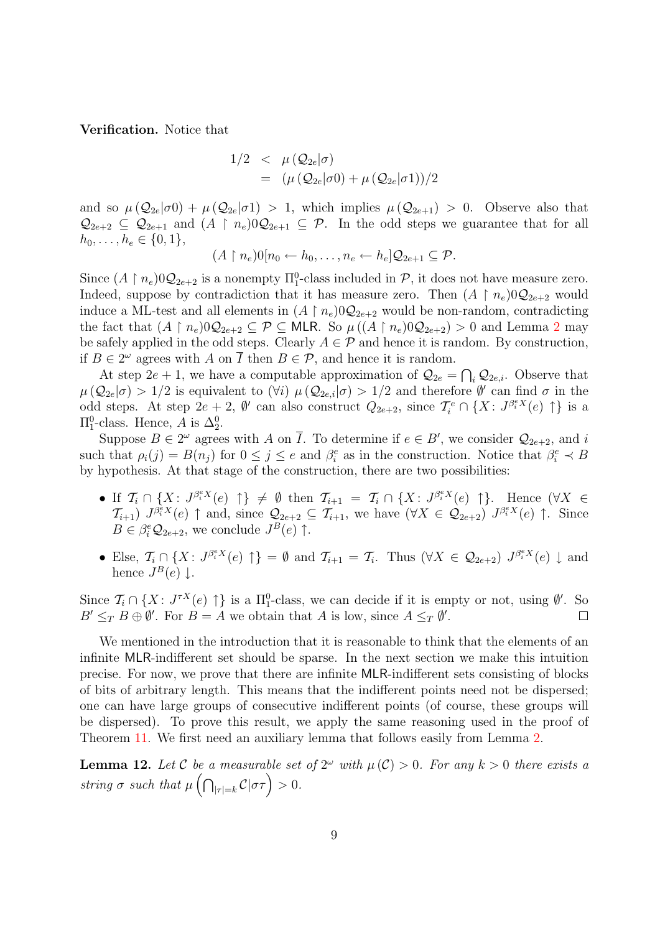Verification. Notice that

$$
1/2 < \mu(Q_{2e}|\sigma) = (\mu(Q_{2e}|\sigma 0) + \mu(Q_{2e}|\sigma 1))/2
$$

and so  $\mu(\mathcal{Q}_{2e}|\sigma_0) + \mu(\mathcal{Q}_{2e}|\sigma_1) > 1$ , which implies  $\mu(\mathcal{Q}_{2e+1}) > 0$ . Observe also that  $\mathcal{Q}_{2e+2} \subseteq \mathcal{Q}_{2e+1}$  and  $(A \restriction n_e)0\mathcal{Q}_{2e+1} \subseteq \mathcal{P}$ . In the odd steps we guarantee that for all  $h_0, \ldots, h_e \in \{0, 1\},\$ 

$$
(A \upharpoonright n_e)0[n_0 \leftarrow h_0, \ldots, n_e \leftarrow h_e]Q_{2e+1} \subseteq \mathcal{P}.
$$

Since  $(A \restriction n_e)$  $0Q_{2e+2}$  is a nonempty  $\Pi_1^0$ -class included in  $P$ , it does not have measure zero. Indeed, suppose by contradiction that it has measure zero. Then  $(A \restriction n_e)0\mathcal{Q}_{2e+2}$  would induce a ML-test and all elements in  $(A \mid n_e)0Q_{2e+2}$  would be non-random, contradicting the fact that  $(A \restriction n_e)0\mathcal{Q}_{2e+2} \subseteq \mathcal{P} \subseteq \mathsf{MLR}$  $(A \restriction n_e)0\mathcal{Q}_{2e+2} \subseteq \mathcal{P} \subseteq \mathsf{MLR}$  $(A \restriction n_e)0\mathcal{Q}_{2e+2} \subseteq \mathcal{P} \subseteq \mathsf{MLR}$ . So  $\mu((A \restriction n_e)0\mathcal{Q}_{2e+2}) > 0$  and Lemma 2 may be safely applied in the odd steps. Clearly  $A \in \mathcal{P}$  and hence it is random. By construction, if  $B \in 2^{\omega}$  agrees with A on  $\overline{I}$  then  $B \in \mathcal{P}$ , and hence it is random.

At step  $2e + 1$ , we have a computable approximation of  $\mathcal{Q}_{2e} = \bigcap_i \mathcal{Q}_{2e,i}$ . Observe that  $\mu(Q_{2e}|\sigma) > 1/2$  is equivalent to  $(\forall i)$   $\mu(Q_{2e,i}|\sigma) > 1/2$  and therefore  $\emptyset'$  can find  $\sigma$  in the odd steps. At step  $2e+2$ ,  $\emptyset'$  can also construct  $Q_{2e+2}$ , since  $\mathcal{T}_i^e \cap \{X: J^{\beta_i^e X}(e) \uparrow\}$  is a  $\Pi_1^0$ -class. Hence, A is  $\Delta_2^0$ .

Suppose  $B \in 2^{\omega}$  agrees with A on  $\overline{I}$ . To determine if  $e \in B'$ , we consider  $\mathcal{Q}_{2e+2}$ , and i such that  $\rho_i(j) = B(n_j)$  for  $0 \leq j \leq e$  and  $\beta_i^e$  as in the construction. Notice that  $\beta_i^e \prec B$ by hypothesis. At that stage of the construction, there are two possibilities:

- If  $\mathcal{T}_i \cap \{X: J^{\beta_i^e X}(e) \uparrow\} \neq \emptyset$  then  $\mathcal{T}_{i+1} = \mathcal{T}_i \cap \{X: J^{\beta_i^e X}(e) \uparrow\}$ . Hence  $(\forall X \in \mathcal{T}_{i+1} \cup \mathcal{T}_{i+1})$  $\mathcal{T}_{i+1}$ )  $J^{\beta_i^e X}(e) \uparrow$  and, since  $\mathcal{Q}_{2e+2} \subseteq \mathcal{T}_{i+1}$ , we have  $(\forall X \in \mathcal{Q}_{2e+2})$   $J^{\beta_i^e X}(e) \uparrow$ . Since  $B \in \beta_i^e \mathcal{Q}_{2e+2}$ , we conclude  $J^B(e)$   $\uparrow$ .
- Else,  $\mathcal{T}_i \cap \{X: J^{\beta_i^e X}(e) \uparrow\} = \emptyset$  and  $\mathcal{T}_{i+1} = \mathcal{T}_i$ . Thus  $(\forall X \in \mathcal{Q}_{2e+2})$   $J^{\beta_i^e X}(e) \downarrow$  and hence  $J^B(e) \downarrow$ .

Since  $\mathcal{T}_i \cap \{X : J^{\tau X}(e) \uparrow\}$  is a  $\Pi_1^0$ -class, we can decide if it is empty or not, using  $\emptyset'$ . So  $B' \leq_T B \oplus \emptyset'$ . For  $B = A$  we obtain that A is low, since  $A \leq_T \emptyset'$ .  $\Box$ 

We mentioned in the introduction that it is reasonable to think that the elements of an infinite MLR-indifferent set should be sparse. In the next section we make this intuition precise. For now, we prove that there are infinite MLR-indifferent sets consisting of blocks of bits of arbitrary length. This means that the indifferent points need not be dispersed; one can have large groups of consecutive indifferent points (of course, these groups will be dispersed). To prove this result, we apply the same reasoning used in the proof of Theorem [11.](#page-7-1) We first need an auxiliary lemma that follows easily from Lemma [2.](#page-2-0)

<span id="page-8-0"></span>**Lemma 12.** Let C be a measurable set of  $2^{\omega}$  with  $\mu(\mathcal{C}) > 0$ . For any  $k > 0$  there exists a string  $\sigma$  such that  $\mu\left(\bigcap_{|\tau|=k}C|\sigma\tau\right) > 0$ .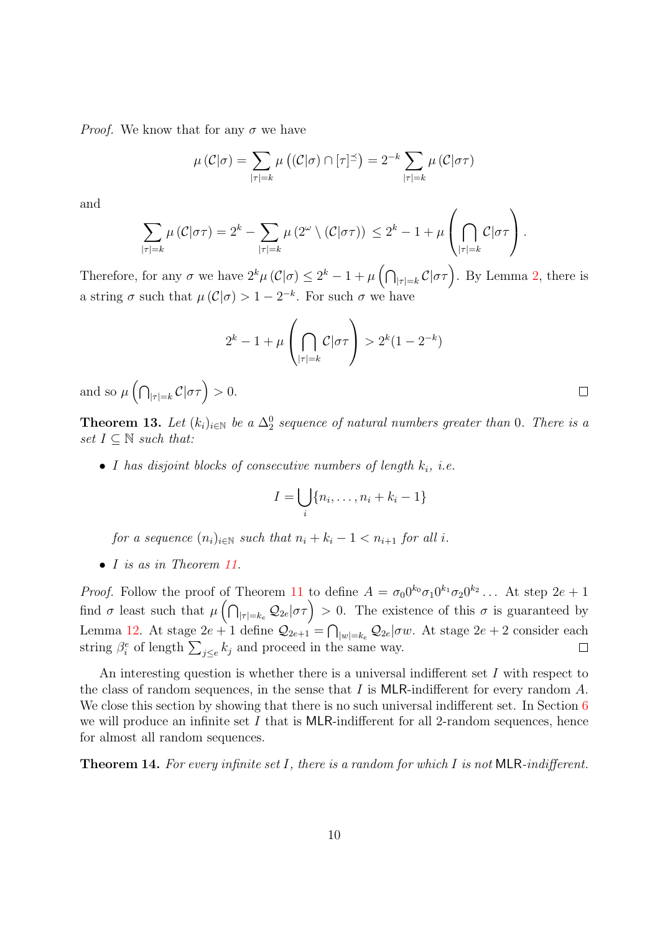*Proof.* We know that for any  $\sigma$  we have

$$
\mu\left(\mathcal{C}|\sigma\right) = \sum_{|\tau|=k} \mu\left(\left(\mathcal{C}|\sigma\right) \cap \left[\tau\right]^{\preceq}\right) = 2^{-k} \sum_{|\tau|=k} \mu\left(\mathcal{C}|\sigma\tau\right)
$$

and

$$
\sum_{|\tau|=k} \mu\left(\mathcal{C}|\sigma\tau\right) = 2^k - \sum_{|\tau|=k} \mu\left(2^\omega \setminus \left(\mathcal{C}|\sigma\tau\right)\right) \leq 2^k - 1 + \mu\left(\bigcap_{|\tau|=k} \mathcal{C}|\sigma\tau\right).
$$

Therefore, for any  $\sigma$  we have  $2^k\mu(\mathcal{C}|\sigma) \leq 2^k - 1 + \mu\left(\bigcap_{|\tau|=k} \mathcal{C}|\sigma\tau\right)$ . By Lemma [2,](#page-2-0) there is a string  $\sigma$  such that  $\mu(\mathcal{C}|\sigma) > 1 - 2^{-k}$ . For such  $\sigma$  we have

$$
2^k - 1 + \mu\left(\bigcap_{|\tau|=k} C|\sigma\tau\right) > 2^k(1 - 2^{-k})
$$

and so  $\mu\left(\bigcap_{|\tau|=k}C|\sigma\tau\right) > 0.$ 

<span id="page-9-0"></span>**Theorem 13.** Let  $(k_i)_{i \in \mathbb{N}}$  be a  $\Delta_2^0$  sequence of natural numbers greater than 0. There is a set  $I \subseteq \mathbb{N}$  such that:

• I has disjoint blocks of consecutive numbers of length  $k_i$ , i.e.

$$
I = \bigcup_i \{n_i, \ldots, n_i + k_i - 1\}
$$

 $\Box$ 

for a sequence  $(n_i)_{i\in\mathbb{N}}$  such that  $n_i + k_i - 1 < n_{i+1}$  for all i.

• I is as in Theorem [11.](#page-7-1)

*Proof.* Follow the proof of Theorem [11](#page-7-1) to define  $A = \sigma_0 0^{k_0} \sigma_1 0^{k_1} \sigma_2 0^{k_2} \dots$  At step  $2e + 1$ find  $\sigma$  least such that  $\mu\left(\bigcap_{|\tau|=k_e} \mathcal{Q}_{2e} | \sigma \tau\right) > 0$ . The existence of this  $\sigma$  is guaranteed by Lemma [12.](#page-8-0) At stage  $2e+1$  define  $\mathcal{Q}_{2e+1} = \bigcap_{|w|=k_e} \mathcal{Q}_{2e} | \sigma w$ . At stage  $2e+2$  consider each string  $\beta_i^e$  of length  $\sum_{j\leq e} k_j$  and proceed in the same way.  $\Box$ 

An interesting question is whether there is a universal indifferent set  $I$  with respect to the class of random sequences, in the sense that I is MLR-indifferent for every random  $A$ . We close this section by showing that there is no such universal indifferent set. In Section [6](#page-13-0) we will produce an infinite set  $I$  that is MLR-indifferent for all 2-random sequences, hence for almost all random sequences.

<span id="page-9-1"></span>**Theorem 14.** For every infinite set I, there is a random for which I is not MLR-indifferent.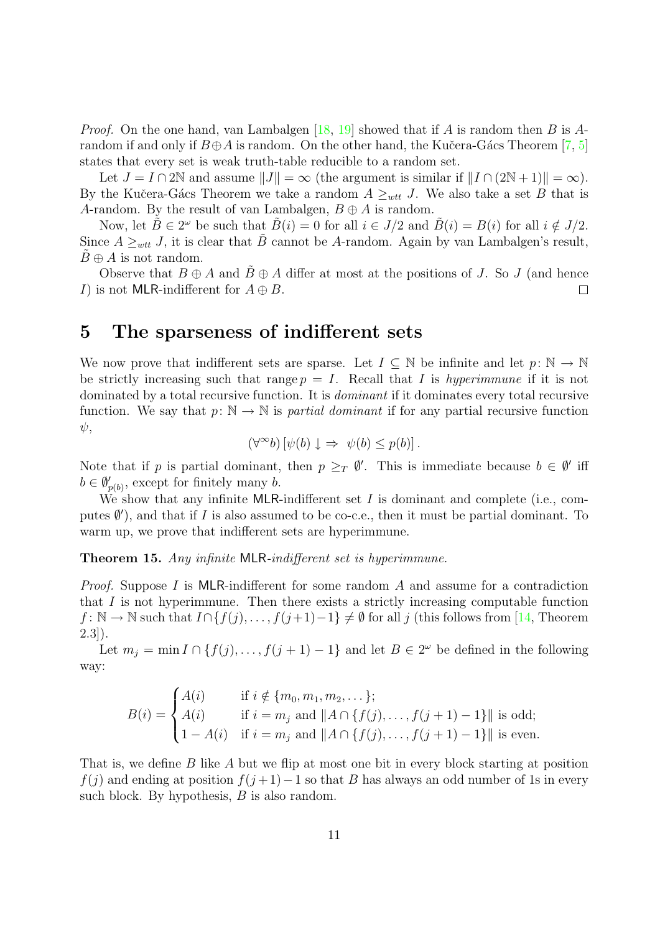*Proof.* On the one hand, van Lambalgen [\[18,](#page-21-8) [19\]](#page-21-9) showed that if A is random then B is Arandom if and only if  $B\oplus A$  is random. On the other hand, the Kučera-Gács Theorem [\[7,](#page-21-10) [5\]](#page-20-3) states that every set is weak truth-table reducible to a random set.

Let  $J = I \cap 2\mathbb{N}$  and assume  $||J|| = \infty$  (the argument is similar if  $||I \cap (2\mathbb{N} + 1)|| = \infty$ ). By the Kučera-Gács Theorem we take a random  $A \geq_{wtt} J$ . We also take a set B that is A-random. By the result of van Lambalgen,  $B \oplus A$  is random.

Now, let  $\tilde{B} \in 2^{\omega}$  be such that  $\tilde{B}(i) = 0$  for all  $i \in J/2$  and  $\tilde{B}(i) = B(i)$  for all  $i \notin J/2$ . Since  $A \geq_{wtt} J$ , it is clear that  $B$  cannot be A-random. Again by van Lambalgen's result,  $B \oplus A$  is not random.

Observe that  $B \oplus A$  and  $B \oplus A$  differ at most at the positions of J. So J (and hence I) is not MLR-indifferent for  $A \oplus B$ .  $\Box$ 

### <span id="page-10-0"></span>5 The sparseness of indifferent sets

We now prove that indifferent sets are sparse. Let  $I \subseteq \mathbb{N}$  be infinite and let  $p: \mathbb{N} \to \mathbb{N}$ be strictly increasing such that range  $p = I$ . Recall that I is hyperimmune if it is not dominated by a total recursive function. It is dominant if it dominates every total recursive function. We say that  $p: \mathbb{N} \to \mathbb{N}$  is partial dominant if for any partial recursive function  $\psi$ ,

$$
(\forall^{\infty}b) [\psi(b) \downarrow \Rightarrow \psi(b) \leq p(b)].
$$

Note that if p is partial dominant, then  $p \geq_T \emptyset'$ . This is immediate because  $b \in \emptyset'$  iff  $b \in \emptyset'_{p(b)},$  except for finitely many b.

We show that any infinite MLR-indifferent set  $I$  is dominant and complete (i.e., computes  $\emptyset'$ ), and that if I is also assumed to be co-c.e., then it must be partial dominant. To warm up, we prove that indifferent sets are hyperimmune.

<span id="page-10-1"></span>Theorem 15. Any infinite MLR-indifferent set is hyperimmune.

*Proof.* Suppose I is MLR-indifferent for some random A and assume for a contradiction that I is not hyperimmune. Then there exists a strictly increasing computable function  $f: \mathbb{N} \to \mathbb{N}$  such that  $I \cap \{f(j), \ldots, f(j+1)-1\} \neq \emptyset$  for all j (this follows from [\[14,](#page-21-0) Theorem  $2.3$ ].

Let  $m_j = \min I \cap \{f(j),..., f(j+1)-1\}$  and let  $B \in 2^{\omega}$  be defined in the following way:

$$
B(i) = \begin{cases} A(i) & \text{if } i \notin \{m_0, m_1, m_2, \dots\}; \\ A(i) & \text{if } i = m_j \text{ and } ||A \cap \{f(j), \dots, f(j+1) - 1\}|| \text{ is odd}; \\ 1 - A(i) & \text{if } i = m_j \text{ and } ||A \cap \{f(j), \dots, f(j+1) - 1\}|| \text{ is even}. \end{cases}
$$

That is, we define B like A but we flip at most one bit in every block starting at position  $f(j)$  and ending at position  $f(j+1)-1$  so that B has always an odd number of 1s in every such block. By hypothesis,  $B$  is also random.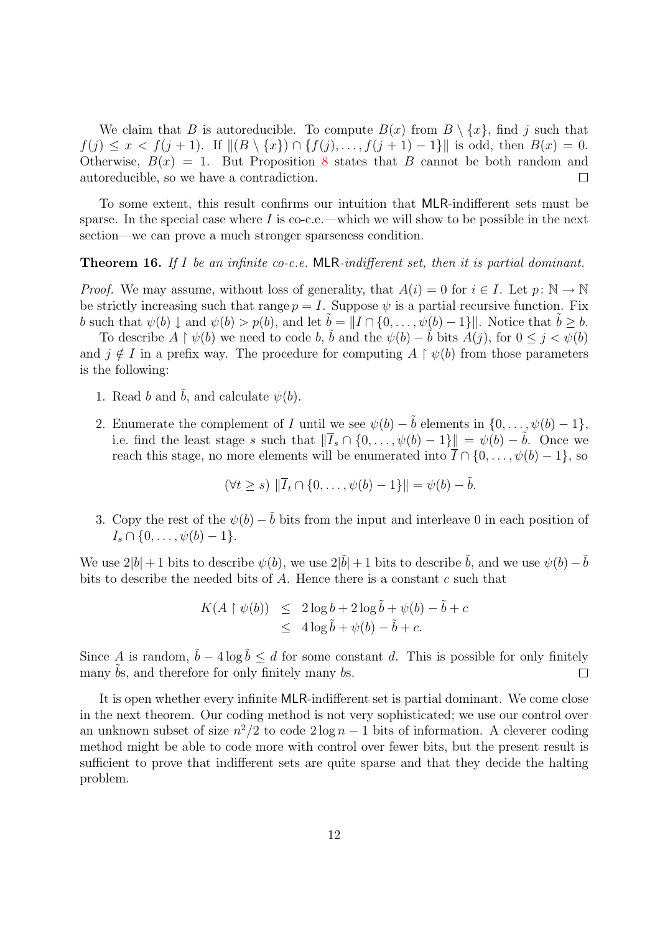We claim that B is autoreducible. To compute  $B(x)$  from  $B \setminus \{x\}$ , find j such that  $f(j) \leq x < f(j+1)$ . If  $|| (B \setminus \{x\}) \cap \{f(j), \ldots, f(j+1) - 1\}||$  is odd, then  $B(x) = 0$ . Otherwise,  $B(x) = 1$ . But Proposition [8](#page-5-1) states that B cannot be both random and autoreducible, so we have a contradiction.  $\Box$ 

To some extent, this result confirms our intuition that MLR-indifferent sets must be sparse. In the special case where  $I$  is co-c.e.—which we will show to be possible in the next section—we can prove a much stronger sparseness condition.

#### <span id="page-11-0"></span>**Theorem 16.** If I be an infinite co-c.e. MLR-indifferent set, then it is partial dominant.

*Proof.* We may assume, without loss of generality, that  $A(i) = 0$  for  $i \in I$ . Let  $p: \mathbb{N} \to \mathbb{N}$ be strictly increasing such that range  $p = I$ . Suppose  $\psi$  is a partial recursive function. Fix b such that  $\psi(b) \downarrow$  and  $\psi(b) > p(b)$ , and let  $\tilde{b} = ||I \cap \{0, \ldots, \psi(b) - 1\}||$ . Notice that  $\tilde{b} > b$ .

To describe  $A \restriction \psi(b)$  we need to code b,  $\tilde{b}$  and the  $\psi(b) - \tilde{b}$  bits  $\tilde{A}(j)$ , for  $0 \leq j < \psi(b)$ and  $j \notin I$  in a prefix way. The procedure for computing  $A \restriction \psi(b)$  from those parameters is the following:

- 1. Read b and  $\tilde{b}$ , and calculate  $\psi(b)$ .
- 2. Enumerate the complement of I until we see  $\psi(b) \tilde{b}$  elements in  $\{0, \ldots, \psi(b) 1\},$ i.e. find the least stage s such that  $\|\overline{I}_s \cap \{0, \ldots, \psi(b) - 1\}\| = \psi(b) - \tilde{b}$ . Once we reach this stage, no more elements will be enumerated into  $\overline{I} \cap \{0, \ldots, \psi(b) - 1\}$ , so

$$
(\forall t \ge s) \|\overline{I}_t \cap \{0, \ldots, \psi(b) - 1\}\| = \psi(b) - \tilde{b}.
$$

3. Copy the rest of the  $\psi(b) - \tilde{b}$  bits from the input and interleave 0 in each position of  $I_s \cap \{0, \ldots, \psi(b) - 1\}.$ 

We use  $2|b|+1$  bits to describe  $\psi(b)$ , we use  $2|\tilde{b}|+1$  bits to describe  $\tilde{b}$ , and we use  $\psi(b)-\tilde{b}$ bits to describe the needed bits of A. Hence there is a constant c such that

$$
K(A \upharpoonright \psi(b)) \leq 2\log b + 2\log \tilde{b} + \psi(b) - \tilde{b} + c
$$
  

$$
\leq 4\log \tilde{b} + \psi(b) - \tilde{b} + c.
$$

Since A is random,  $\tilde{b} - 4 \log \tilde{b} \le d$  for some constant d. This is possible for only finitely many  $\ddot{b}$ s, and therefore for only finitely many  $b$ s.  $\Box$ 

<span id="page-11-1"></span>It is open whether every infinite MLR-indifferent set is partial dominant. We come close in the next theorem. Our coding method is not very sophisticated; we use our control over an unknown subset of size  $n^2/2$  to code  $2 \log n - 1$  bits of information. A cleverer coding method might be able to code more with control over fewer bits, but the present result is sufficient to prove that indifferent sets are quite sparse and that they decide the halting problem.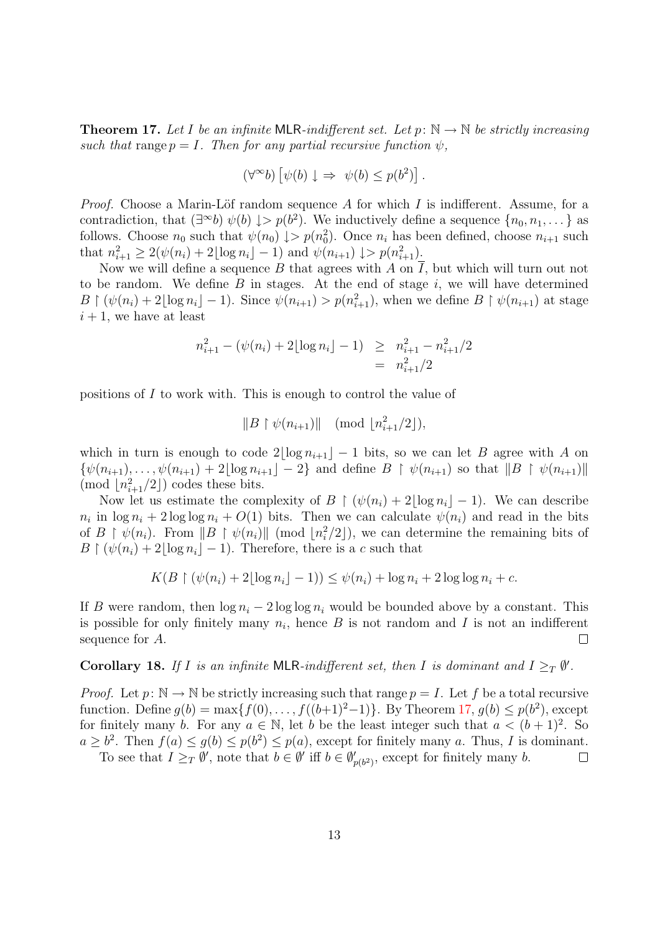**Theorem 17.** Let I be an infinite MLR-indifferent set. Let  $p: \mathbb{N} \to \mathbb{N}$  be strictly increasing such that range  $p = I$ . Then for any partial recursive function  $\psi$ ,

$$
(\forall^{\infty}b) [\psi(b) \downarrow \Rightarrow \psi(b) \leq p(b^2)].
$$

*Proof.* Choose a Marin-Löf random sequence  $A$  for which  $I$  is indifferent. Assume, for a contradiction, that  $(\exists^{\infty}b) \psi(b) \downarrow > p(b^2)$ . We inductively define a sequence  $\{n_0, n_1, \dots\}$  as follows. Choose  $n_0$  such that  $\psi(n_0) \downarrow > p(n_0^2)$ . Once  $n_i$  has been defined, choose  $n_{i+1}$  such that  $n_{i+1}^2 \geq 2(\psi(n_i) + 2\lfloor \log n_i \rfloor - 1)$  and  $\psi(n_{i+1}) \downarrow > p(n_{i+1}^2)$ .

Now we will define a sequence B that agrees with A on  $\overline{I}$ , but which will turn out not to be random. We define  $B$  in stages. At the end of stage  $i$ , we will have determined  $B \restriction (\psi(n_i)+2\lfloor \log n_i \rfloor - 1)$ . Since  $\psi(n_{i+1}) > p(n_{i+1}^2)$ , when we define  $B \restriction \psi(n_{i+1})$  at stage  $i + 1$ , we have at least

$$
n_{i+1}^{2} - (\psi(n_{i}) + 2\lfloor \log n_{i} \rfloor - 1) \geq n_{i+1}^{2} - n_{i+1}^{2}/2
$$
  
= 
$$
n_{i+1}^{2}/2
$$

positions of I to work with. This is enough to control the value of

$$
||B \restriction \psi(n_{i+1})|| \pmod{[n_{i+1}^2/2]},
$$

which in turn is enough to code  $2\lfloor \log n_{i+1} \rfloor - 1$  bits, so we can let B agree with A on  $\{\psi(n_{i+1}), \ldots, \psi(n_{i+1}) + 2\lfloor \log n_{i+1} \rfloor - 2\}$  and define  $B \restriction \psi(n_{i+1})$  so that  $||B \restriction \psi(n_{i+1})||$ (mod  $\lfloor n_{i+1}^2/2 \rfloor$ ) codes these bits.

Now let us estimate the complexity of B  $\mid (\psi(n_i) + 2|\log n_i| - 1)$ . We can describe  $n_i$  in  $\log n_i + 2 \log \log n_i + O(1)$  bits. Then we can calculate  $\psi(n_i)$  and read in the bits of  $B \restriction \psi(n_i)$ . From  $||B \restriction \psi(n_i)||$  (mod  $\lfloor n_i^2/2 \rfloor$ ), we can determine the remaining bits of  $B \restriction (\psi(n_i) + 2|\log n_i| - 1)$ . Therefore, there is a c such that

$$
K(B \restriction (\psi(n_i) + 2\lfloor \log n_i \rfloor - 1)) \le \psi(n_i) + \log n_i + 2\log \log n_i + c.
$$

If B were random, then  $\log n_i - 2 \log \log n_i$  would be bounded above by a constant. This is possible for only finitely many  $n_i$ , hence  $B$  is not random and  $I$  is not an indifferent sequence for A.  $\Box$ 

#### <span id="page-12-0"></span>Corollary 18. If I is an infinite MLR-indifferent set, then I is dominant and  $I \geq_T \emptyset'$ .

*Proof.* Let  $p: \mathbb{N} \to \mathbb{N}$  be strictly increasing such that range  $p = I$ . Let f be a total recursive function. Define  $g(b) = \max\{f(0), \ldots, f((b+1)^2-1)\}\$ . By Theorem [17,](#page-11-1)  $g(b) \leq p(b^2)$ , except for finitely many b. For any  $a \in \mathbb{N}$ , let b be the least integer such that  $a < (b+1)^2$ . So  $a \geq b^2$ . Then  $f(a) \leq g(b) \leq p(b^2) \leq p(a)$ , except for finitely many a. Thus, I is dominant.

To see that  $I \geq_T \emptyset'$ , note that  $b \in \emptyset'$  iff  $b \in \emptyset'_{p(b^2)}$ , except for finitely many b.  $\Box$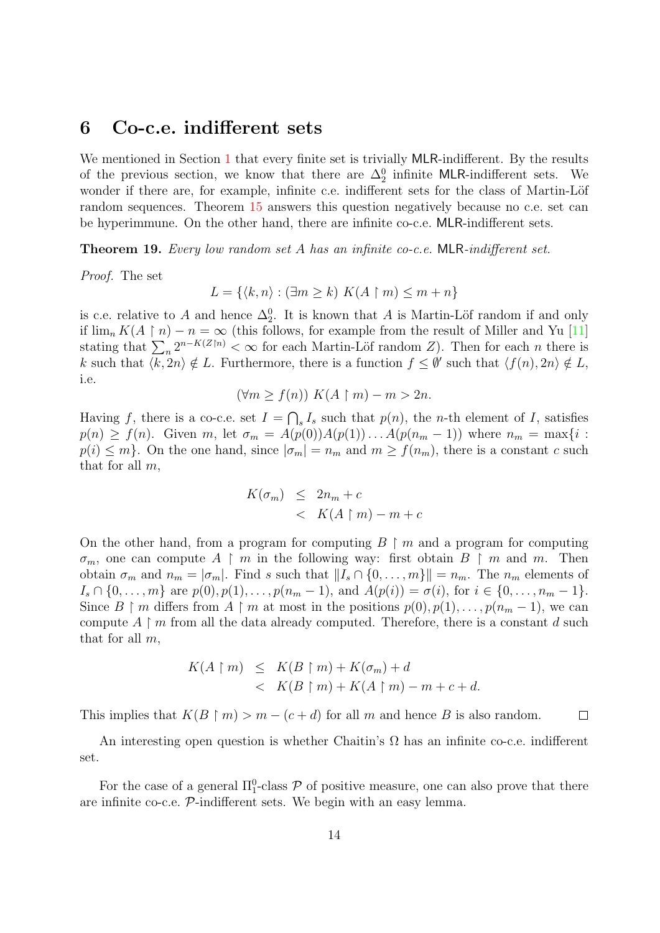#### <span id="page-13-0"></span>6 Co-c.e. indifferent sets

We mentioned in Section [1](#page-0-0) that every finite set is trivially MLR-indifferent. By the results of the previous section, we know that there are  $\Delta_2^0$  infinite MLR-indifferent sets. We wonder if there are, for example, infinite c.e. indifferent sets for the class of Martin-Löf random sequences. Theorem [15](#page-10-1) answers this question negatively because no c.e. set can be hyperimmune. On the other hand, there are infinite co-c.e. MLR-indifferent sets.

<span id="page-13-1"></span>Theorem 19. Every low random set A has an infinite co-c.e. MLR-indifferent set.

Proof. The set

$$
L = \{ \langle k, n \rangle : (\exists m \ge k) \ K(A \upharpoonright m) \le m + n \}
$$

is c.e. relative to A and hence  $\Delta_2^0$ . It is known that A is Martin-Löf random if and only if  $\lim_{n} K(A \restriction n) - n = \infty$  (this follows, for example from the result of Miller and Yu [\[11\]](#page-21-11) stating that  $\sum_{n=1}^{\infty} 2^{n-K(Z\restriction n)} < \infty$  for each Martin-Löf random Z). Then for each n there is k such that  $\langle k, 2n \rangle \notin L$ . Furthermore, there is a function  $f \leq \emptyset'$  such that  $\langle f(n), 2n \rangle \notin L$ , i.e.

$$
(\forall m \ge f(n)) K(A \upharpoonright m) - m > 2n.
$$

Having f, there is a co-c.e. set  $I = \bigcap_s I_s$  such that  $p(n)$ , the n-th element of I, satisfies  $p(n) \ge f(n)$ . Given m, let  $\sigma_m = A(p(0))A(p(1))\ldots A(p(n_m-1))$  where  $n_m = \max\{i$ :  $p(i) \leq m$ . On the one hand, since  $|\sigma_m| = n_m$  and  $m \geq f(n_m)$ , there is a constant c such that for all  $m$ ,

$$
K(\sigma_m) \le 2n_m + c
$$
  
< 
$$
< K(A \upharpoonright m) - m + c
$$

On the other hand, from a program for computing  $B \restriction m$  and a program for computing  $\sigma_m$ , one can compute  $A \restriction m$  in the following way: first obtain  $B \restriction m$  and m. Then obtain  $\sigma_m$  and  $n_m = |\sigma_m|$ . Find s such that  $||I_s \cap \{0, \ldots, m\}|| = n_m$ . The  $n_m$  elements of  $I_s \cap \{0, \ldots, m\}$  are  $p(0), p(1), \ldots, p(n_m - 1)$ , and  $A(p(i)) = \sigma(i)$ , for  $i \in \{0, \ldots, n_m - 1\}$ . Since B  $\upharpoonright m$  differs from A  $\upharpoonright m$  at most in the positions  $p(0), p(1), \ldots, p(n_m - 1)$ , we can compute  $A \upharpoonright m$  from all the data already computed. Therefore, there is a constant d such that for all  $m$ ,

$$
K(A \upharpoonright m) \leq K(B \upharpoonright m) + K(\sigma_m) + d
$$
  

$$
< K(B \upharpoonright m) + K(A \upharpoonright m) - m + c + d.
$$

This implies that  $K(B \mid m) > m - (c + d)$  for all m and hence B is also random.  $\Box$ 

An interesting open question is whether Chaitin's  $\Omega$  has an infinite co-c.e. indifferent set.

<span id="page-13-2"></span>For the case of a general  $\Pi_1^0$ -class  $P$  of positive measure, one can also prove that there are infinite co-c.e. P-indifferent sets. We begin with an easy lemma.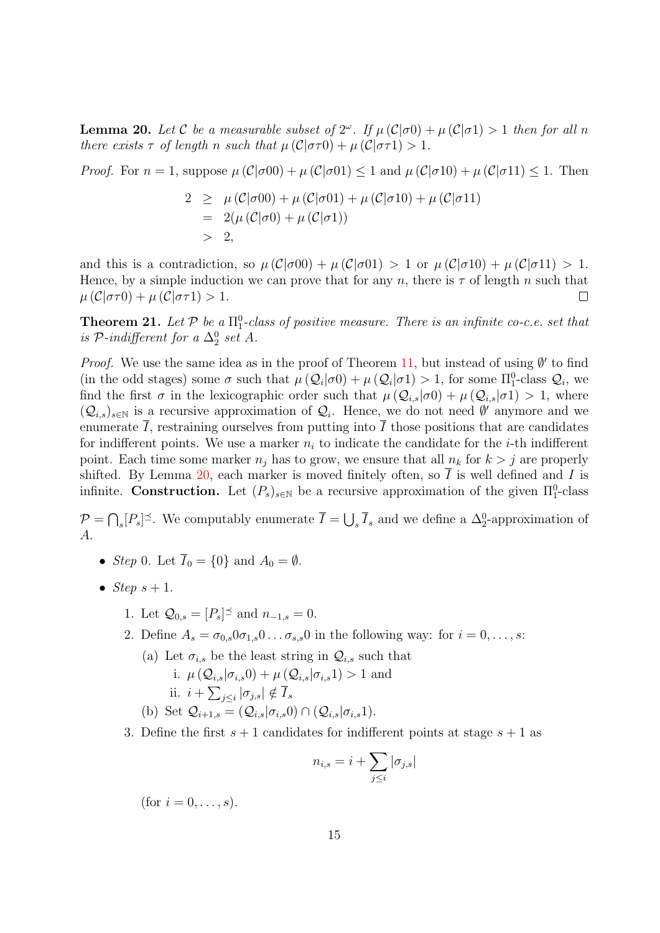**Lemma 20.** Let C be a measurable subset of  $2^{\omega}$ . If  $\mu(\mathcal{C}|\sigma 0) + \mu(\mathcal{C}|\sigma 1) > 1$  then for all n there exists  $\tau$  of length n such that  $\mu(\mathcal{C}|\sigma\tau) + \mu(\mathcal{C}|\sigma\tau) > 1$ .

*Proof.* For  $n = 1$ , suppose  $\mu(\mathcal{C}|\sigma 00) + \mu(\mathcal{C}|\sigma 01) \leq 1$  and  $\mu(\mathcal{C}|\sigma 10) + \mu(\mathcal{C}|\sigma 11) \leq 1$ . Then

$$
2 \geq \mu(C|\sigma 00) + \mu(C|\sigma 01) + \mu(C|\sigma 10) + \mu(C|\sigma 11)
$$
  
= 2( $\mu(C|\sigma 0) + \mu(C|\sigma 1)$ )  
> 2,

and this is a contradiction, so  $\mu(\mathcal{C}|\sigma 00) + \mu(\mathcal{C}|\sigma 01) > 1$  or  $\mu(\mathcal{C}|\sigma 10) + \mu(\mathcal{C}|\sigma 11) > 1$ . Hence, by a simple induction we can prove that for any n, there is  $\tau$  of length n such that  $\mu(\mathcal{C}|\sigma\tau 0) + \mu(\mathcal{C}|\sigma\tau 1) > 1.$  $\Box$ 

<span id="page-14-0"></span>**Theorem 21.** Let  $P$  be a  $\Pi_1^0$ -class of positive measure. There is an infinite co-c.e. set that is  $\mathcal{P}\text{-}indifferent for a \Delta_2^0 set A.$ 

*Proof.* We use the same idea as in the proof of Theorem [11,](#page-7-1) but instead of using  $\emptyset'$  to find (in the odd stages) some  $\sigma$  such that  $\mu(Q_i|\sigma) + \mu(Q_i|\sigma) > 1$ , for some  $\Pi_1^0$ -class  $Q_i$ , we find the first  $\sigma$  in the lexicographic order such that  $\mu(Q_{i,s}|\sigma_0) + \mu(Q_{i,s}|\sigma_1) > 1$ , where  $(Q_{i,s})_{s\in\mathbb{N}}$  is a recursive approximation of  $Q_i$ . Hence, we do not need  $\emptyset'$  anymore and we enumerate  $\overline{I}$ , restraining ourselves from putting into  $\overline{I}$  those positions that are candidates for indifferent points. We use a marker  $n_i$  to indicate the candidate for the *i*-th indifferent point. Each time some marker  $n_i$  has to grow, we ensure that all  $n_k$  for  $k > j$  are properly shifted. By Lemma [20,](#page-13-2) each marker is moved finitely often, so  $\overline{I}$  is well defined and I is infinite. Construction. Let  $(P_s)_{s \in \mathbb{N}}$  be a recursive approximation of the given  $\Pi_1^0$ -class

 $\mathcal{P} = \bigcap_s [P_s]^{\preceq}$ . We computably enumerate  $\overline{I} = \bigcup_s \overline{I}_s$  and we define a  $\Delta_2^0$ -approximation of A.

- Step 0. Let  $\overline{I}_0 = \{0\}$  and  $A_0 = \emptyset$ .
- Step  $s + 1$ .
	- 1. Let  $\mathcal{Q}_{0,s} = [P_s]^{\preceq}$  and  $n_{-1,s} = 0$ .
	- 2. Define  $A_s = \sigma_{0,s}0\sigma_{1,s}0\ldots\sigma_{s,s}0$  in the following way: for  $i = 0,\ldots,s$ :

<span id="page-14-1"></span>(a) Let  $\sigma_{i,s}$  be the least string in  $\mathcal{Q}_{i,s}$  such that

- i.  $\mu(Q_{i,s}|\sigma_{i,s}0) + \mu(Q_{i,s}|\sigma_{i,s}1) > 1$  and ii.  $i + \sum_{j \leq i} |\sigma_{j,s}| \notin \overline{I}_s$
- (b) Set  $\mathcal{Q}_{i+1,s} = (\mathcal{Q}_{i,s} | \sigma_{i,s} 0) \cap (\mathcal{Q}_{i,s} | \sigma_{i,s} 1).$
- <span id="page-14-2"></span>3. Define the first  $s + 1$  candidates for indifferent points at stage  $s + 1$  as

$$
n_{i,s} = i + \sum_{j \leq i} |\sigma_{j,s}|
$$

(for  $i = 0, \ldots, s$ ).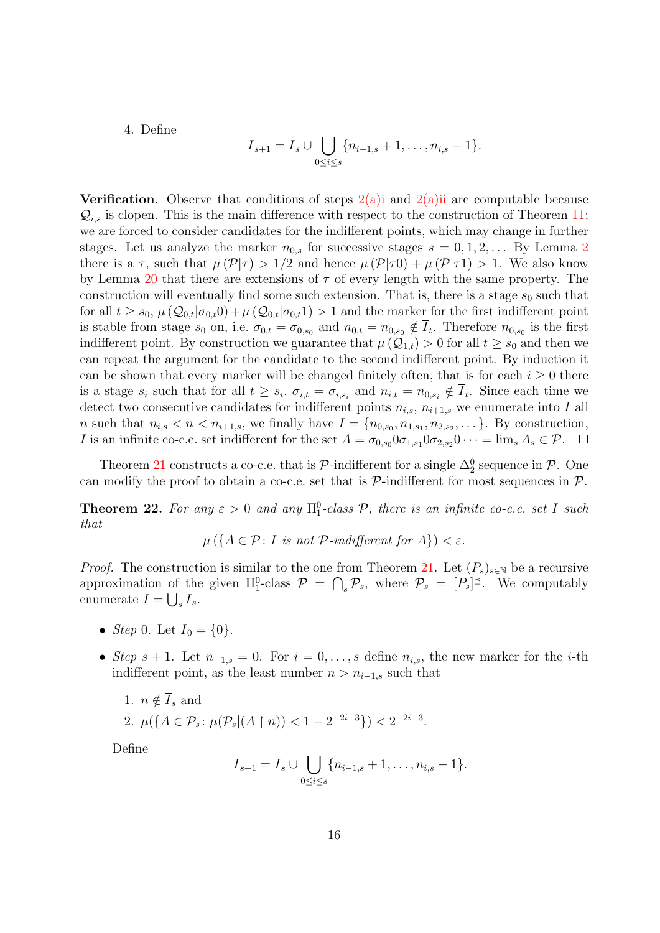4. Define

$$
\overline{I}_{s+1} = \overline{I}_s \cup \bigcup_{0 \le i \le s} \{n_{i-1,s} + 1, \ldots, n_{i,s} - 1\}.
$$

**Verification.** Observe that conditions of steps  $2(a)$  i and  $2(a)$  ii are computable because  $\mathcal{Q}_{i,s}$  is clopen. This is the main difference with respect to the construction of Theorem [11;](#page-7-1) we are forced to consider candidates for the indifferent points, which may change in further stages. Let us analyze the marker  $n_{0,s}$  for successive stages  $s = 0, 1, 2, \ldots$  $s = 0, 1, 2, \ldots$  $s = 0, 1, 2, \ldots$  By Lemma 2 there is a  $\tau$ , such that  $\mu(\mathcal{P}|\tau) > 1/2$  and hence  $\mu(\mathcal{P}|\tau 0) + \mu(\mathcal{P}|\tau 1) > 1$ . We also know by Lemma [20](#page-13-2) that there are extensions of  $\tau$  of every length with the same property. The construction will eventually find some such extension. That is, there is a stage  $s_0$  such that for all  $t \geq s_0$ ,  $\mu(Q_{0,t}|\sigma_{0,t}0) + \mu(Q_{0,t}|\sigma_{0,t}1) > 1$  and the marker for the first indifferent point is stable from stage  $s_0$  on, i.e.  $\sigma_{0,t} = \sigma_{0,s_0}$  and  $n_{0,t} = n_{0,s_0} \notin \overline{I}_t$ . Therefore  $n_{0,s_0}$  is the first indifferent point. By construction we guarantee that  $\mu(Q_{1,t}) > 0$  for all  $t \geq s_0$  and then we can repeat the argument for the candidate to the second indifferent point. By induction it can be shown that every marker will be changed finitely often, that is for each  $i \geq 0$  there is a stage  $s_i$  such that for all  $t \geq s_i$ ,  $\sigma_{i,t} = \sigma_{i,s_i}$  and  $n_{i,t} = n_{0,s_i} \notin I_t$ . Since each time we detect two consecutive candidates for indifferent points  $n_{i,s}$ ,  $n_{i+1,s}$ , we enumerate into  $\overline{I}$  all *n* such that  $n_{i,s} < n < n_{i+1,s}$ , we finally have  $I = \{n_{0,s_0}, n_{1,s_1}, n_{2,s_2}, \dots\}$ . By construction, I is an infinite co-c.e. set indifferent for the set  $A = \sigma_{0,s_0} 0 \sigma_{1,s_1} 0 \sigma_{2,s_2} 0 \cdots = \lim_s A_s \in \mathcal{P}$ .  $\Box$ 

Theorem [21](#page-14-0) constructs a co-c.e. that is  $\mathcal{P}$ -indifferent for a single  $\Delta_2^0$  sequence in  $\mathcal{P}$ . One can modify the proof to obtain a co-c.e. set that is  $P$ -indifferent for most sequences in  $P$ .

<span id="page-15-0"></span>**Theorem 22.** For any  $\varepsilon > 0$  and any  $\Pi_1^0$ -class  $P$ , there is an infinite co-c.e. set I such that

 $\mu(\lbrace A \in \mathcal{P}: I \text{ is not } \mathcal{P}\text{-}indifferent for } A \rbrace) < \varepsilon.$ 

*Proof.* The construction is similar to the one from Theorem [21.](#page-14-0) Let  $(P_s)_{s\in\mathbb{N}}$  be a recursive approximation of the given  $\Pi_1^0$ -class  $\mathcal{P} = \bigcap_s \mathcal{P}_s$ , where  $\mathcal{P}_s = [P_s]^{\preceq}$ . We computably enumerate  $\overline{I} = \bigcup_{s} \overline{I}_{s}$ .

- Step 0. Let  $\overline{I}_0 = \{0\}.$
- Step s + 1. Let  $n_{-1,s} = 0$ . For  $i = 0, \ldots, s$  define  $n_{i,s}$ , the new marker for the i-th indifferent point, as the least number  $n > n_{i-1,s}$  such that

1. 
$$
n \notin \overline{I}_s
$$
 and  
2.  $\mu({A \in \mathcal{P}_s : \mu(\mathcal{P}_s | (A \upharpoonright n)) < 1 - 2^{-2i-3}}) < 2^{-2i-3}$ .

Define

$$
\overline{I}_{s+1} = \overline{I}_s \cup \bigcup_{0 \leq i \leq s} \{n_{i-1,s} + 1, \ldots, n_{i,s} - 1\}.
$$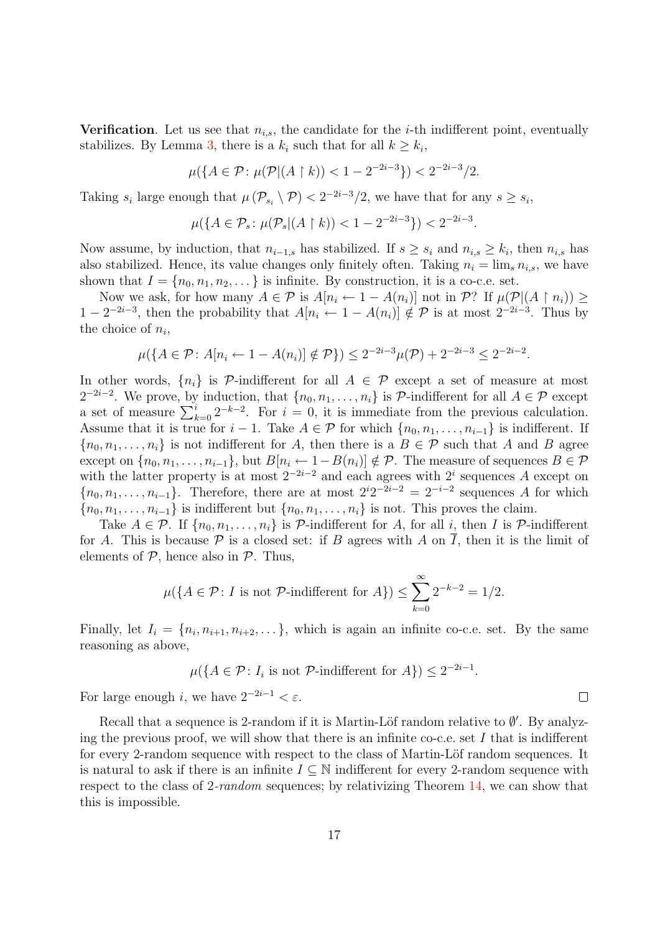Verification. Let us see that  $n_{i,s}$ , the candidate for the *i*-th indifferent point, eventually stabilizes. By Lemma [3,](#page-2-1) there is a  $k_i$  such that for all  $k \geq k_i$ ,

$$
\mu(\{A \in \mathcal{P} \colon \mu(\mathcal{P} | (A \restriction k)) < 1 - 2^{-2i - 3}\}) < 2^{-2i - 3}/2.
$$

Taking  $s_i$  large enough that  $\mu(\mathcal{P}_{s_i} \setminus \mathcal{P}) < 2^{-2i-3}/2$ , we have that for any  $s \geq s_i$ ,

$$
\mu(\{A \in \mathcal{P}_s \colon \mu(\mathcal{P}_s | (A \upharpoonright k)) < 1 - 2^{-2i - 3}\}) < 2^{-2i - 3}.
$$

Now assume, by induction, that  $n_{i-1,s}$  has stabilized. If  $s \geq s_i$  and  $n_{i,s} \geq k_i$ , then  $n_{i,s}$  has also stabilized. Hence, its value changes only finitely often. Taking  $n_i = \lim_{s} n_{i,s}$ , we have shown that  $I = \{n_0, n_1, n_2, \dots\}$  is infinite. By construction, it is a co-c.e. set.

Now we ask, for how many  $A \in \mathcal{P}$  is  $A[n_i \leftarrow 1 - A(n_i)]$  not in  $\mathcal{P}$ ? If  $\mu(\mathcal{P} | (A \restriction n_i)) \geq$  $1-2^{-2i-3}$ , then the probability that  $A[n_i \leftarrow 1 - A(n_i)] \notin \mathcal{P}$  is at most  $2^{-2i-3}$ . Thus by the choice of  $n_i$ ,

$$
\mu(\{A \in \mathcal{P} \colon A[n_i \leftarrow 1 - A(n_i)] \notin \mathcal{P}\}) \le 2^{-2i-3}\mu(\mathcal{P}) + 2^{-2i-3} \le 2^{-2i-2}.
$$

In other words,  $\{n_i\}$  is P-indifferent for all  $A \in \mathcal{P}$  except a set of measure at most  $2^{-2i-2}$ . We prove, by induction, that  $\{n_0, n_1, \ldots, n_i\}$  is P-indifferent for all  $A \in \mathcal{P}$  except a set of measure  $\sum_{k=0}^{i} 2^{-k-2}$ . For  $i = 0$ , it is immediate from the previous calculation. Assume that it is true for  $i-1$ . Take  $A \in \mathcal{P}$  for which  $\{n_0, n_1, \ldots, n_{i-1}\}$  is indifferent. If  ${n_0, n_1, \ldots, n_i}$  is not indifferent for A, then there is a  $B \in \mathcal{P}$  such that A and B agree except on  $\{n_0, n_1, \ldots, n_{i-1}\}$ , but  $B[n_i \leftarrow 1 - B(n_i)] \notin \mathcal{P}$ . The measure of sequences  $B \in \mathcal{P}$ with the latter property is at most  $2^{-2i-2}$  and each agrees with  $2^i$  sequences A except on  ${n_0, n_1, \ldots, n_{i-1}}$ . Therefore, there are at most  $2^{i}2^{-2i-2} = 2^{-i-2}$  sequences A for which  ${n_0, n_1, \ldots, n_{i-1}}$  is indifferent but  ${n_0, n_1, \ldots, n_i}$  is not. This proves the claim.

Take  $A \in \mathcal{P}$ . If  $\{n_0, n_1, \ldots, n_i\}$  is  $\mathcal{P}$ -indifferent for A, for all i, then I is  $\mathcal{P}$ -indifferent for A. This is because  $\mathcal P$  is a closed set: if B agrees with A on I, then it is the limit of elements of  $P$ , hence also in  $P$ . Thus,

$$
\mu(\lbrace A \in \mathcal{P} \colon I \text{ is not } \mathcal{P}\text{-indifferent for } A \rbrace) \le \sum_{k=0}^{\infty} 2^{-k-2} = 1/2.
$$

Finally, let  $I_i = \{n_i, n_{i+1}, n_{i+2}, \dots\}$ , which is again an infinite co-c.e. set. By the same reasoning as above,

$$
\mu(\lbrace A \in \mathcal{P} \colon I_i \text{ is not } \mathcal{P}\text{-indifferent for } A \rbrace) \leq 2^{-2i-1}.
$$

For large enough i, we have  $2^{-2i-1} < \varepsilon$ .

<span id="page-16-0"></span>Recall that a sequence is 2-random if it is Martin-Löf random relative to  $\emptyset'$ . By analyzing the previous proof, we will show that there is an infinite co-c.e. set  $I$  that is indifferent for every 2-random sequence with respect to the class of Martin-Löf random sequences. It is natural to ask if there is an infinite  $I \subseteq \mathbb{N}$  indifferent for every 2-random sequence with respect to the class of 2-random sequences; by relativizing Theorem [14,](#page-9-1) we can show that this is impossible.

 $\Box$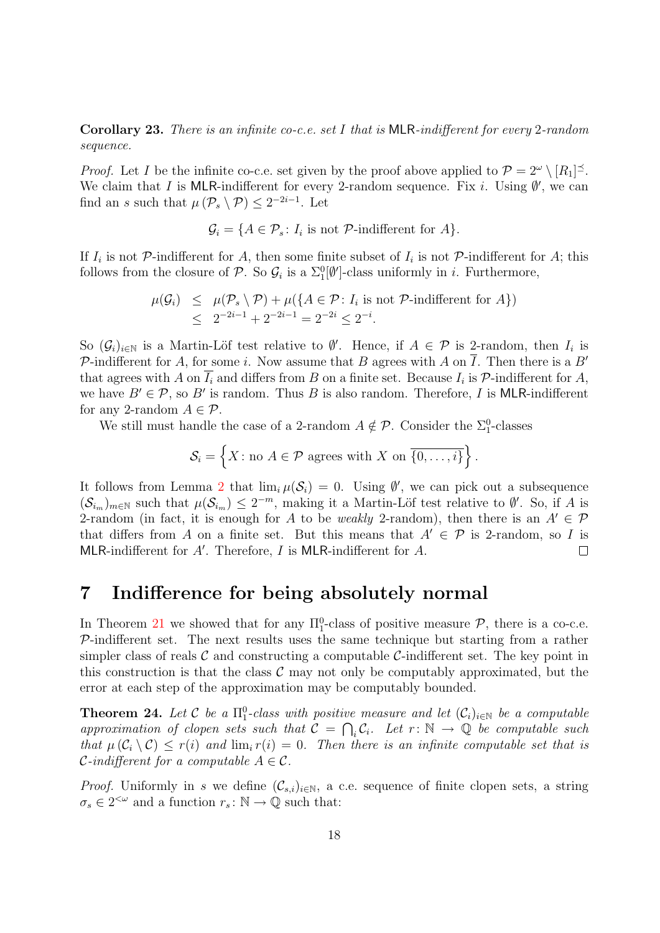**Corollary 23.** There is an infinite co-c.e. set I that is MLR-indifferent for every 2-random sequence.

*Proof.* Let I be the infinite co-c.e. set given by the proof above applied to  $\mathcal{P} = 2^{\omega} \setminus [R_1]^{\leq}$ . We claim that I is MLR-indifferent for every 2-random sequence. Fix i. Using  $\emptyset'$ , we can find an s such that  $\mu(\mathcal{P}_s \setminus \mathcal{P}) \leq 2^{-2i-1}$ . Let

$$
\mathcal{G}_i = \{ A \in \mathcal{P}_s \colon I_i \text{ is not } \mathcal{P}\text{-indifferent for } A \}.
$$

If  $I_i$  is not P-indifferent for A, then some finite subset of  $I_i$  is not P-indifferent for A; this follows from the closure of  $P$ . So  $\mathcal{G}_i$  is a  $\Sigma_1^0[\emptyset']$ -class uniformly in *i*. Furthermore,

$$
\mu(\mathcal{G}_i) \leq \mu(\mathcal{P}_s \setminus \mathcal{P}) + \mu(\lbrace A \in \mathcal{P} : I_i \text{ is not } \mathcal{P}\text{-indifferent for } A \rbrace)
$$
  

$$
\leq 2^{-2i-1} + 2^{-2i-1} = 2^{-2i} \leq 2^{-i}.
$$

So  $(\mathcal{G}_i)_{i\in\mathbb{N}}$  is a Martin-Löf test relative to  $\emptyset'$ . Hence, if  $A \in \mathcal{P}$  is 2-random, then  $I_i$  is P-indifferent for A, for some i. Now assume that B agrees with A on  $\overline{I}$ . Then there is a B' that agrees with A on  $I_i$  and differs from B on a finite set. Because  $I_i$  is  $P$ -indifferent for A, we have  $B' \in \mathcal{P}$ , so B' is random. Thus B is also random. Therefore, I is MLR-indifferent for any 2-random  $A \in \mathcal{P}$ .

We still must handle the case of a 2-random  $A \notin \mathcal{P}$ . Consider the  $\Sigma_1^0$ -classes

$$
\mathcal{S}_i = \left\{ X : \text{no } A \in \mathcal{P} \text{ agrees with } X \text{ on } \overline{\{0, \ldots, i\}} \right\}.
$$

It follows from Lemma [2](#page-2-0) that  $\lim_{i} \mu(\mathcal{S}_i) = 0$ . Using  $\emptyset'$ , we can pick out a subsequence  $(\mathcal{S}_{i_m})_{m\in\mathbb{N}}$  such that  $\mu(\mathcal{S}_{i_m}) \leq 2^{-m}$ , making it a Martin-Löf test relative to  $\emptyset'$ . So, if A is 2-random (in fact, it is enough for A to be weakly 2-random), then there is an  $A' \in \mathcal{P}$ that differs from A on a finite set. But this means that  $A' \in \mathcal{P}$  is 2-random, so I is MLR-indifferent for  $A'$ . Therefore,  $I$  is MLR-indifferent for  $A$ .  $\Box$ 

### <span id="page-17-0"></span>7 Indifference for being absolutely normal

In Theorem [21](#page-14-0) we showed that for any  $\Pi_1^0$ -class of positive measure  $P$ , there is a co-c.e.  $P$ -indifferent set. The next results uses the same technique but starting from a rather simpler class of reals  $\mathcal C$  and constructing a computable  $\mathcal C$ -indifferent set. The key point in this construction is that the class  $\mathcal C$  may not only be computably approximated, but the error at each step of the approximation may be computably bounded.

<span id="page-17-1"></span>**Theorem 24.** Let C be a  $\Pi_1^0$ -class with positive measure and let  $(\mathcal{C}_i)_{i\in\mathbb{N}}$  be a computable approximation of clopen sets such that  $C = \bigcap_i C_i$ . Let  $r: \mathbb{N} \to \mathbb{Q}$  be computable such that  $\mu(C_i \setminus C) \leq r(i)$  and  $\lim_i r(i) = 0$ . Then there is an infinite computable set that is *C*-indifferent for a computable  $A \in \mathcal{C}$ .

*Proof.* Uniformly in s we define  $(\mathcal{C}_{s,i})_{i\in\mathbb{N}}$ , a c.e. sequence of finite clopen sets, a string  $\sigma_s \in 2^{<\omega}$  and a function  $r_s : \mathbb{N} \to \mathbb{Q}$  such that: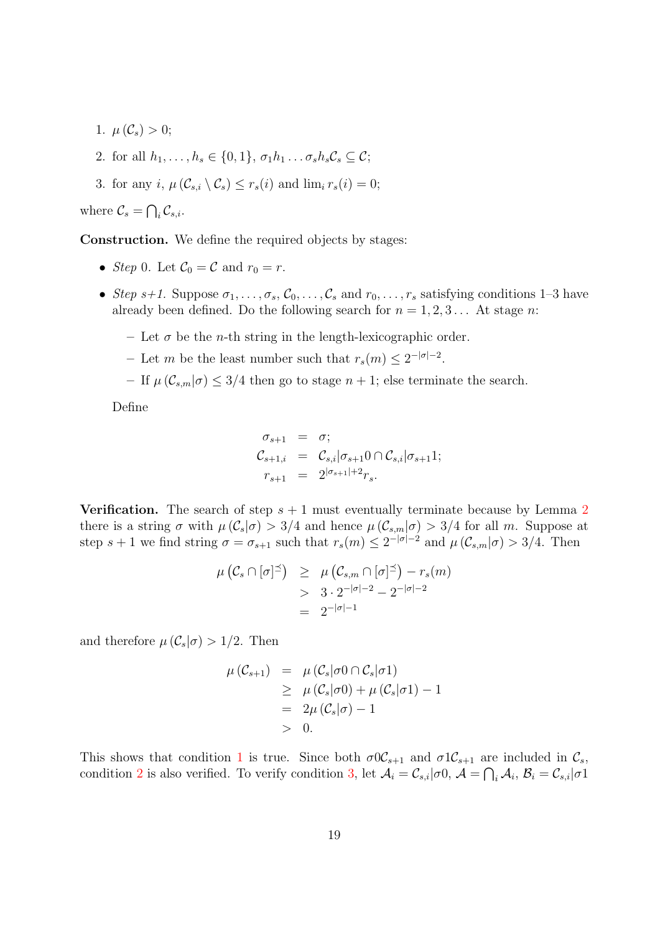- <span id="page-18-1"></span>1.  $\mu(\mathcal{C}_s) > 0$ ;
- <span id="page-18-2"></span>2. for all  $h_1, \ldots, h_s \in \{0, 1\}, \sigma_1 h_1 \ldots \sigma_s h_s C_s \subseteq \mathcal{C};$
- <span id="page-18-0"></span>3. for any i,  $\mu(\mathcal{C}_{s,i} \setminus \mathcal{C}_s) \leq r_s(i)$  and  $\lim_i r_s(i) = 0$ ;

where  $\mathcal{C}_s = \bigcap_i \mathcal{C}_{s,i}$ .

Construction. We define the required objects by stages:

- Step 0. Let  $\mathcal{C}_0 = \mathcal{C}$  and  $r_0 = r$ .
- Step s+1. Suppose  $\sigma_1, \ldots, \sigma_s, \mathcal{C}_0, \ldots, \mathcal{C}_s$  and  $r_0, \ldots, r_s$  satisfying conditions 1–3 have already been defined. Do the following search for  $n = 1, 2, 3...$  At stage n:
	- Let  $\sigma$  be the *n*-th string in the length-lexicographic order.
	- Let m be the least number such that  $r_s(m) \leq 2^{-|\sigma|-2}$ .
	- If  $\mu(\mathcal{C}_{s,m}|\sigma) \leq 3/4$  then go to stage  $n+1$ ; else terminate the search.

Define

$$
\sigma_{s+1} = \sigma;
$$
  
\n
$$
\mathcal{C}_{s+1,i} = \mathcal{C}_{s,i} | \sigma_{s+1} 0 \cap \mathcal{C}_{s,i} | \sigma_{s+1} 1;
$$
  
\n
$$
r_{s+1} = 2^{|\sigma_{s+1}|+2} r_s.
$$

**Verification.** The search of step  $s + 1$  must eventually terminate because by Lemma [2](#page-2-0) there is a string  $\sigma$  with  $\mu(\mathcal{C}_s|\sigma) > 3/4$  and hence  $\mu(\mathcal{C}_{s,m}|\sigma) > 3/4$  for all m. Suppose at step  $s + 1$  we find string  $\sigma = \sigma_{s+1}$  such that  $r_s(m) \leq 2^{-|\sigma|-2}$  and  $\mu(\mathcal{C}_{s,m}|\sigma) > 3/4$ . Then

$$
\mu\left(\mathcal{C}_s \cap [\sigma]^{\preceq}\right) \geq \mu\left(\mathcal{C}_{s,m} \cap [\sigma]^{\preceq}\right) - r_s(m)
$$
  
> 3 \cdot 2^{-|\sigma|-2} - 2^{-|\sigma|-2}  
= 2^{-|\sigma|-1}

and therefore  $\mu(\mathcal{C}_s|\sigma) > 1/2$ . Then

$$
\begin{array}{rcl}\n\mu\left(\mathcal{C}_{s+1}\right) & = & \mu\left(\mathcal{C}_{s}|\sigma 0 \cap \mathcal{C}_{s}|\sigma 1\right) \\
& \geq & \mu\left(\mathcal{C}_{s}|\sigma 0\right) + \mu\left(\mathcal{C}_{s}|\sigma 1\right) - 1 \\
& = & 2\mu\left(\mathcal{C}_{s}|\sigma\right) - 1 \\
& > 0.\n\end{array}
$$

This shows that condition [1](#page-18-1) is true. Since both  $\sigma 0C_{s+1}$  and  $\sigma 1C_{s+1}$  are included in  $C_s$ , condition [2](#page-18-2) is also verified. To verify condition [3,](#page-18-0) let  $\mathcal{A}_i = \mathcal{C}_{s,i} | \sigma 0$ ,  $\mathcal{A} = \bigcap_i \mathcal{A}_i$ ,  $\mathcal{B}_i = \mathcal{C}_{s,i} | \sigma 1$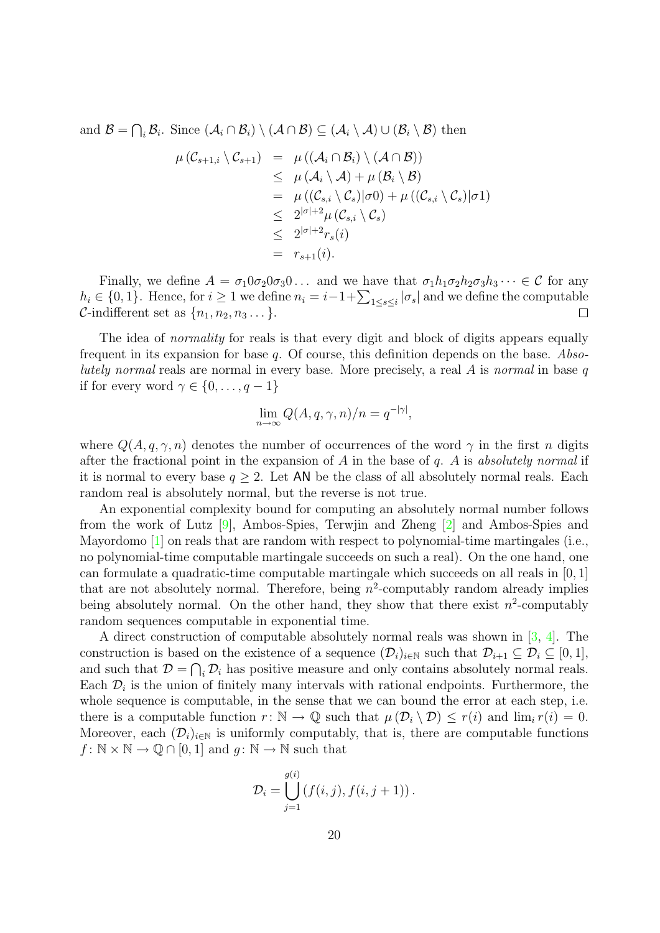and  $\mathcal{B} = \bigcap_i \mathcal{B}_i$ . Since  $(\mathcal{A}_i \cap \mathcal{B}_i) \setminus (\mathcal{A} \cap \mathcal{B}) \subseteq (\mathcal{A}_i \setminus \mathcal{A}) \cup (\mathcal{B}_i \setminus \mathcal{B})$  then

$$
\mu(C_{s+1,i} \setminus C_{s+1}) = \mu((\mathcal{A}_i \cap \mathcal{B}_i) \setminus (\mathcal{A} \cap \mathcal{B}))
$$
  
\n
$$
\leq \mu(\mathcal{A}_i \setminus \mathcal{A}) + \mu(\mathcal{B}_i \setminus \mathcal{B})
$$
  
\n
$$
= \mu((C_{s,i} \setminus C_s)|\sigma 0) + \mu((C_{s,i} \setminus C_s)|\sigma 1)
$$
  
\n
$$
\leq 2^{|\sigma|+2} \mu(C_{s,i} \setminus C_s)
$$
  
\n
$$
\leq 2^{|\sigma|+2} r_s(i)
$$
  
\n
$$
= r_{s+1}(i).
$$

Finally, we define  $A = \sigma_1 0 \sigma_2 0 \sigma_3 0 \ldots$  and we have that  $\sigma_1 h_1 \sigma_2 h_2 \sigma_3 h_3 \cdots \in \mathcal{C}$  for any  $h_i \in \{0,1\}$ . Hence, for  $i \geq 1$  we define  $n_i = i-1+\sum_{1 \leq s \leq i} |\sigma_s|$  and we define the computable C-indifferent set as  $\{n_1, n_2, n_3 \dots\}$ .  $\Box$ 

The idea of *normality* for reals is that every digit and block of digits appears equally frequent in its expansion for base q. Of course, this definition depends on the base. Absolutely normal reals are normal in every base. More precisely, a real  $A$  is normal in base  $q$ if for every word  $\gamma \in \{0, \ldots, q-1\}$ 

$$
\lim_{n \to \infty} Q(A, q, \gamma, n)/n = q^{-|\gamma|},
$$

where  $Q(A, q, \gamma, n)$  denotes the number of occurrences of the word  $\gamma$  in the first n digits after the fractional point in the expansion of A in the base of  $q$ . A is absolutely normal if it is normal to every base  $q \geq 2$ . Let AN be the class of all absolutely normal reals. Each random real is absolutely normal, but the reverse is not true.

An exponential complexity bound for computing an absolutely normal number follows from the work of Lutz [\[9\]](#page-21-12), Ambos-Spies, Terwjin and Zheng [\[2\]](#page-20-4) and Ambos-Spies and Mayordomo [\[1\]](#page-20-5) on reals that are random with respect to polynomial-time martingales (i.e., no polynomial-time computable martingale succeeds on such a real). On the one hand, one can formulate a quadratic-time computable martingale which succeeds on all reals in [0, 1] that are not absolutely normal. Therefore, being  $n^2$ -computably random already implies being absolutely normal. On the other hand, they show that there exist  $n^2$ -computably random sequences computable in exponential time.

A direct construction of computable absolutely normal reals was shown in [\[3,](#page-20-6) [4\]](#page-20-7). The construction is based on the existence of a sequence  $(\mathcal{D}_i)_{i\in\mathbb{N}}$  such that  $\mathcal{D}_{i+1}\subseteq\mathcal{D}_i\subseteq[0,1],$ and such that  $\mathcal{D} = \bigcap_i \mathcal{D}_i$  has positive measure and only contains absolutely normal reals. Each  $\mathcal{D}_i$  is the union of finitely many intervals with rational endpoints. Furthermore, the whole sequence is computable, in the sense that we can bound the error at each step, i.e. there is a computable function  $r: \mathbb{N} \to \mathbb{Q}$  such that  $\mu(\mathcal{D}_i \setminus \mathcal{D}) \leq r(i)$  and  $\lim_i r(i) = 0$ . Moreover, each  $(\mathcal{D}_i)_{i\in\mathbb{N}}$  is uniformly computably, that is, there are computable functions  $f: \mathbb{N} \times \mathbb{N} \to \mathbb{Q} \cap [0,1]$  and  $g: \mathbb{N} \to \mathbb{N}$  such that

$$
\mathcal{D}_i = \bigcup_{j=1}^{g(i)} (f(i,j), f(i,j+1)).
$$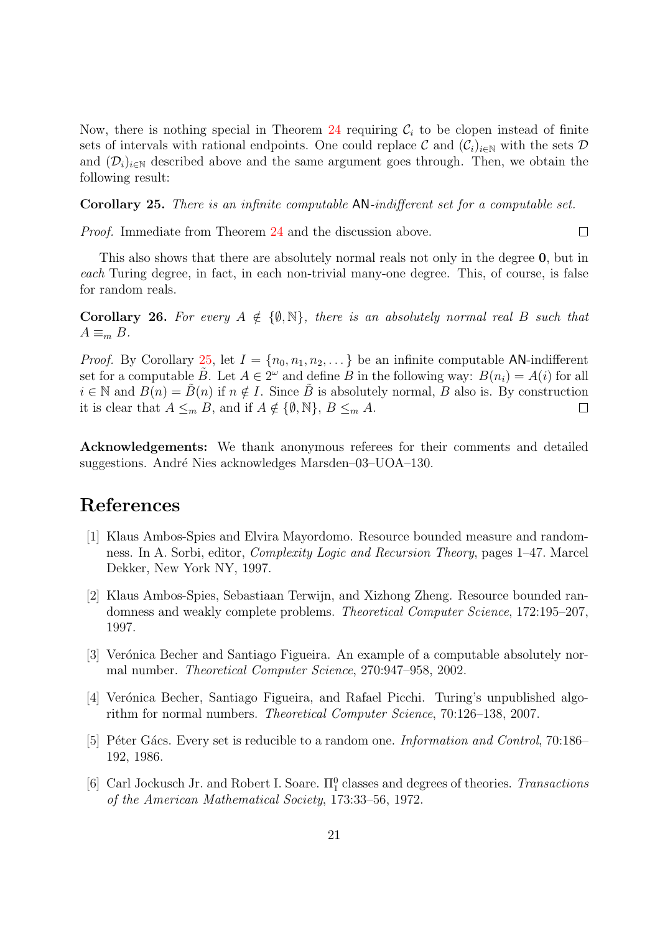Now, there is nothing special in Theorem [24](#page-17-1) requiring  $C_i$  to be clopen instead of finite sets of intervals with rational endpoints. One could replace C and  $(\mathcal{C}_i)_{i\in\mathbb{N}}$  with the sets D and  $(\mathcal{D}_i)_{i\in\mathbb{N}}$  described above and the same argument goes through. Then, we obtain the following result:

<span id="page-20-0"></span>Corollary 25. There is an infinite computable AN-indifferent set for a computable set.

Proof. Immediate from Theorem [24](#page-17-1) and the discussion above.

This also shows that there are absolutely normal reals not only in the degree 0, but in each Turing degree, in fact, in each non-trivial many-one degree. This, of course, is false for random reals.

 $\Box$ 

<span id="page-20-1"></span>**Corollary 26.** For every  $A \notin \{\emptyset, \mathbb{N}\}\$ , there is an absolutely normal real B such that  $A \equiv_m B$ .

*Proof.* By Corollary [25,](#page-20-0) let  $I = \{n_0, n_1, n_2, \dots\}$  be an infinite computable AN-indifferent set for a computable  $\tilde{B}$ . Let  $A \in 2^{\omega}$  and define  $B$  in the following way:  $B(n_i) = A(i)$  for all  $i \in \mathbb{N}$  and  $B(n) = B(n)$  if  $n \notin I$ . Since B is absolutely normal, B also is. By construction it is clear that  $A \leq_m B$ , and if  $A \notin \{\emptyset, \mathbb{N}\}, B \leq_m A$ .  $\Box$ 

Acknowledgements: We thank anonymous referees for their comments and detailed suggestions. André Nies acknowledges Marsden–03–UOA–130.

# References

- <span id="page-20-5"></span>[1] Klaus Ambos-Spies and Elvira Mayordomo. Resource bounded measure and randomness. In A. Sorbi, editor, Complexity Logic and Recursion Theory, pages 1–47. Marcel Dekker, New York NY, 1997.
- <span id="page-20-4"></span>[2] Klaus Ambos-Spies, Sebastiaan Terwijn, and Xizhong Zheng. Resource bounded randomness and weakly complete problems. Theoretical Computer Science, 172:195–207, 1997.
- <span id="page-20-6"></span>[3] Verónica Becher and Santiago Figueira. An example of a computable absolutely normal number. Theoretical Computer Science, 270:947–958, 2002.
- <span id="page-20-7"></span>[4] Verónica Becher, Santiago Figueira, and Rafael Picchi. Turing's unpublished algorithm for normal numbers. Theoretical Computer Science, 70:126–138, 2007.
- <span id="page-20-3"></span>[5] Péter Gács. Every set is reducible to a random one. *Information and Control*, 70:186– 192, 1986.
- <span id="page-20-2"></span>[6] Carl Jockusch Jr. and Robert I. Soare.  $\Pi_1^0$  classes and degrees of theories. Transactions of the American Mathematical Society, 173:33–56, 1972.